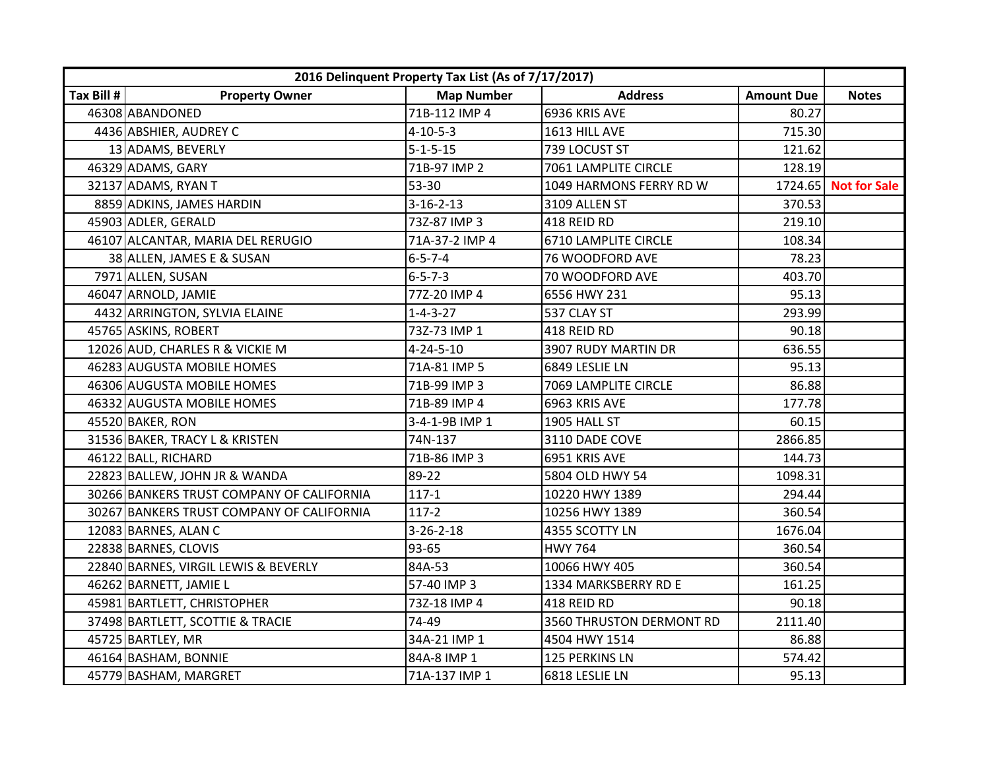| 2016 Delinquent Property Tax List (As of 7/17/2017) |                                           |                   |                          |                   |                      |
|-----------------------------------------------------|-------------------------------------------|-------------------|--------------------------|-------------------|----------------------|
| Tax Bill #                                          | <b>Property Owner</b>                     | <b>Map Number</b> | <b>Address</b>           | <b>Amount Due</b> | <b>Notes</b>         |
|                                                     | 46308 ABANDONED                           | 71B-112 IMP 4     | 6936 KRIS AVE            | 80.27             |                      |
|                                                     | 4436 ABSHIER, AUDREY C                    | $4 - 10 - 5 - 3$  | 1613 HILL AVE            | 715.30            |                      |
|                                                     | 13 ADAMS, BEVERLY                         | $5 - 1 - 5 - 15$  | 739 LOCUST ST            | 121.62            |                      |
|                                                     | 46329 ADAMS, GARY                         | 71B-97 IMP 2      | 7061 LAMPLITE CIRCLE     | 128.19            |                      |
|                                                     | 32137 ADAMS, RYAN T                       | 53-30             | 1049 HARMONS FERRY RD W  |                   | 1724.65 Not for Sale |
|                                                     | 8859 ADKINS, JAMES HARDIN                 | $3 - 16 - 2 - 13$ | 3109 ALLEN ST            | 370.53            |                      |
|                                                     | 45903 ADLER, GERALD                       | 73Z-87 IMP 3      | 418 REID RD              | 219.10            |                      |
|                                                     | 46107 ALCANTAR, MARIA DEL RERUGIO         | 71A-37-2 IMP 4    | 6710 LAMPLITE CIRCLE     | 108.34            |                      |
|                                                     | 38 ALLEN, JAMES E & SUSAN                 | $6 - 5 - 7 - 4$   | 76 WOODFORD AVE          | 78.23             |                      |
|                                                     | 7971 ALLEN, SUSAN                         | $6 - 5 - 7 - 3$   | 70 WOODFORD AVE          | 403.70            |                      |
|                                                     | 46047 ARNOLD, JAMIE                       | 77Z-20 IMP 4      | 6556 HWY 231             | 95.13             |                      |
|                                                     | 4432 ARRINGTON, SYLVIA ELAINE             | $1 - 4 - 3 - 27$  | 537 CLAY ST              | 293.99            |                      |
|                                                     | 45765 ASKINS, ROBERT                      | 73Z-73 IMP 1      | 418 REID RD              | 90.18             |                      |
|                                                     | 12026 AUD, CHARLES R & VICKIE M           | $4 - 24 - 5 - 10$ | 3907 RUDY MARTIN DR      | 636.55            |                      |
|                                                     | 46283 AUGUSTA MOBILE HOMES                | 71A-81 IMP 5      | 6849 LESLIE LN           | 95.13             |                      |
|                                                     | 46306 AUGUSTA MOBILE HOMES                | 71B-99 IMP 3      | 7069 LAMPLITE CIRCLE     | 86.88             |                      |
|                                                     | 46332 AUGUSTA MOBILE HOMES                | 71B-89 IMP 4      | 6963 KRIS AVE            | 177.78            |                      |
|                                                     | 45520 BAKER, RON                          | 3-4-1-9B IMP 1    | 1905 HALL ST             | 60.15             |                      |
|                                                     | 31536 BAKER, TRACY L & KRISTEN            | 74N-137           | 3110 DADE COVE           | 2866.85           |                      |
|                                                     | 46122 BALL, RICHARD                       | 71B-86 IMP 3      | 6951 KRIS AVE            | 144.73            |                      |
|                                                     | 22823 BALLEW, JOHN JR & WANDA             | 89-22             | 5804 OLD HWY 54          | 1098.31           |                      |
|                                                     | 30266 BANKERS TRUST COMPANY OF CALIFORNIA | $117 - 1$         | 10220 HWY 1389           | 294.44            |                      |
|                                                     | 30267 BANKERS TRUST COMPANY OF CALIFORNIA | $117-2$           | 10256 HWY 1389           | 360.54            |                      |
|                                                     | 12083 BARNES, ALAN C                      | $3 - 26 - 2 - 18$ | 4355 SCOTTY LN           | 1676.04           |                      |
|                                                     | 22838 BARNES, CLOVIS                      | 93-65             | <b>HWY 764</b>           | 360.54            |                      |
|                                                     | 22840 BARNES, VIRGIL LEWIS & BEVERLY      | 84A-53            | 10066 HWY 405            | 360.54            |                      |
|                                                     | 46262 BARNETT, JAMIE L                    | 57-40 IMP 3       | 1334 MARKSBERRY RD E     | 161.25            |                      |
|                                                     | 45981 BARTLETT, CHRISTOPHER               | 73Z-18 IMP 4      | 418 REID RD              | 90.18             |                      |
|                                                     | 37498 BARTLETT, SCOTTIE & TRACIE          | 74-49             | 3560 THRUSTON DERMONT RD | 2111.40           |                      |
|                                                     | 45725 BARTLEY, MR                         | 34A-21 IMP 1      | 4504 HWY 1514            | 86.88             |                      |
|                                                     | 46164 BASHAM, BONNIE                      | 84A-8 IMP 1       | 125 PERKINS LN           | 574.42            |                      |
|                                                     | 45779 BASHAM, MARGRET                     | 71A-137 IMP 1     | 6818 LESLIE LN           | 95.13             |                      |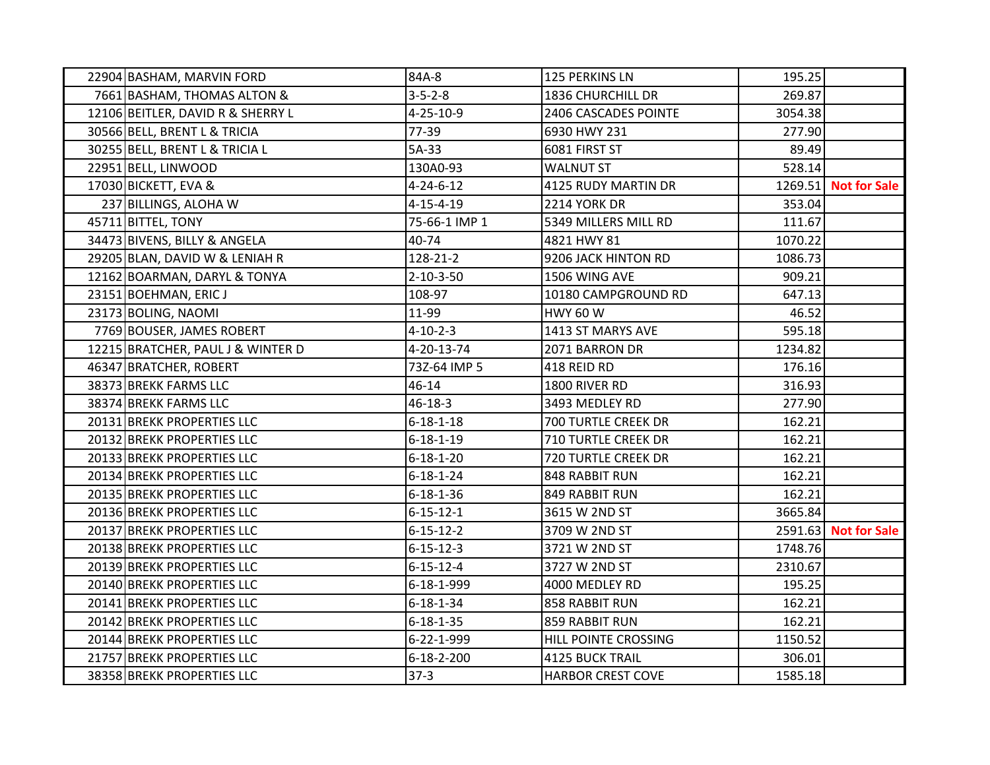| 22904 BASHAM, MARVIN FORD         | 84A-8              | 125 PERKINS LN             | 195.25  |                      |
|-----------------------------------|--------------------|----------------------------|---------|----------------------|
| 7661 BASHAM, THOMAS ALTON &       | $3 - 5 - 2 - 8$    | 1836 CHURCHILL DR          | 269.87  |                      |
| 12106 BEITLER, DAVID R & SHERRY L | $4 - 25 - 10 - 9$  | 2406 CASCADES POINTE       | 3054.38 |                      |
| 30566 BELL, BRENT L & TRICIA      | 77-39              | 6930 HWY 231               | 277.90  |                      |
| 30255 BELL, BRENT L & TRICIA L    | 5A-33              | 6081 FIRST ST              | 89.49   |                      |
| 22951 BELL, LINWOOD               | 130A0-93           | <b>WALNUT ST</b>           | 528.14  |                      |
| 17030 BICKETT, EVA &              | $4 - 24 - 6 - 12$  | 4125 RUDY MARTIN DR        |         | 1269.51 Not for Sale |
| 237 BILLINGS, ALOHA W             | $4 - 15 - 4 - 19$  | 2214 YORK DR               | 353.04  |                      |
| 45711 BITTEL, TONY                | 75-66-1 IMP 1      | 5349 MILLERS MILL RD       | 111.67  |                      |
| 34473 BIVENS, BILLY & ANGELA      | 40-74              | 4821 HWY 81                | 1070.22 |                      |
| 29205 BLAN, DAVID W & LENIAH R    | 128-21-2           | 9206 JACK HINTON RD        | 1086.73 |                      |
| 12162 BOARMAN, DARYL & TONYA      | $2 - 10 - 3 - 50$  | 1506 WING AVE              | 909.21  |                      |
| 23151 BOEHMAN, ERIC J             | 108-97             | 10180 CAMPGROUND RD        | 647.13  |                      |
| 23173 BOLING, NAOMI               | 11-99              | <b>HWY 60 W</b>            | 46.52   |                      |
| 7769 BOUSER, JAMES ROBERT         | $4 - 10 - 2 - 3$   | 1413 ST MARYS AVE          | 595.18  |                      |
| 12215 BRATCHER, PAUL J & WINTER D | 4-20-13-74         | 2071 BARRON DR             | 1234.82 |                      |
| 46347 BRATCHER, ROBERT            | 73Z-64 IMP 5       | 418 REID RD                | 176.16  |                      |
| 38373 BREKK FARMS LLC             | 46-14              | 1800 RIVER RD              | 316.93  |                      |
| 38374 BREKK FARMS LLC             | 46-18-3            | 3493 MEDLEY RD             | 277.90  |                      |
| 20131 BREKK PROPERTIES LLC        | $6 - 18 - 1 - 18$  | 700 TURTLE CREEK DR        | 162.21  |                      |
| 20132 BREKK PROPERTIES LLC        | $6 - 18 - 1 - 19$  | <b>710 TURTLE CREEK DR</b> | 162.21  |                      |
| 20133 BREKK PROPERTIES LLC        | $6 - 18 - 1 - 20$  | 720 TURTLE CREEK DR        | 162.21  |                      |
| 20134 BREKK PROPERTIES LLC        | $6 - 18 - 1 - 24$  | 848 RABBIT RUN             | 162.21  |                      |
| 20135 BREKK PROPERTIES LLC        | $6 - 18 - 1 - 36$  | 849 RABBIT RUN             | 162.21  |                      |
| 20136 BREKK PROPERTIES LLC        | $6 - 15 - 12 - 1$  | 3615 W 2ND ST              | 3665.84 |                      |
| 20137 BREKK PROPERTIES LLC        | $6 - 15 - 12 - 2$  | 3709 W 2ND ST              |         | 2591.63 Not for Sale |
| 20138 BREKK PROPERTIES LLC        | 6-15-12-3          | 3721 W 2ND ST              | 1748.76 |                      |
| 20139 BREKK PROPERTIES LLC        | $6 - 15 - 12 - 4$  | 3727 W 2ND ST              | 2310.67 |                      |
| 20140 BREKK PROPERTIES LLC        | 6-18-1-999         | 4000 MEDLEY RD             | 195.25  |                      |
| 20141 BREKK PROPERTIES LLC        | $6 - 18 - 1 - 34$  | 858 RABBIT RUN             | 162.21  |                      |
| 20142 BREKK PROPERTIES LLC        | $6 - 18 - 1 - 35$  | 859 RABBIT RUN             | 162.21  |                      |
| 20144 BREKK PROPERTIES LLC        | 6-22-1-999         | HILL POINTE CROSSING       | 1150.52 |                      |
| 21757 BREKK PROPERTIES LLC        | $6 - 18 - 2 - 200$ | <b>4125 BUCK TRAIL</b>     | 306.01  |                      |
| 38358 BREKK PROPERTIES LLC        | $37-3$             | <b>HARBOR CREST COVE</b>   | 1585.18 |                      |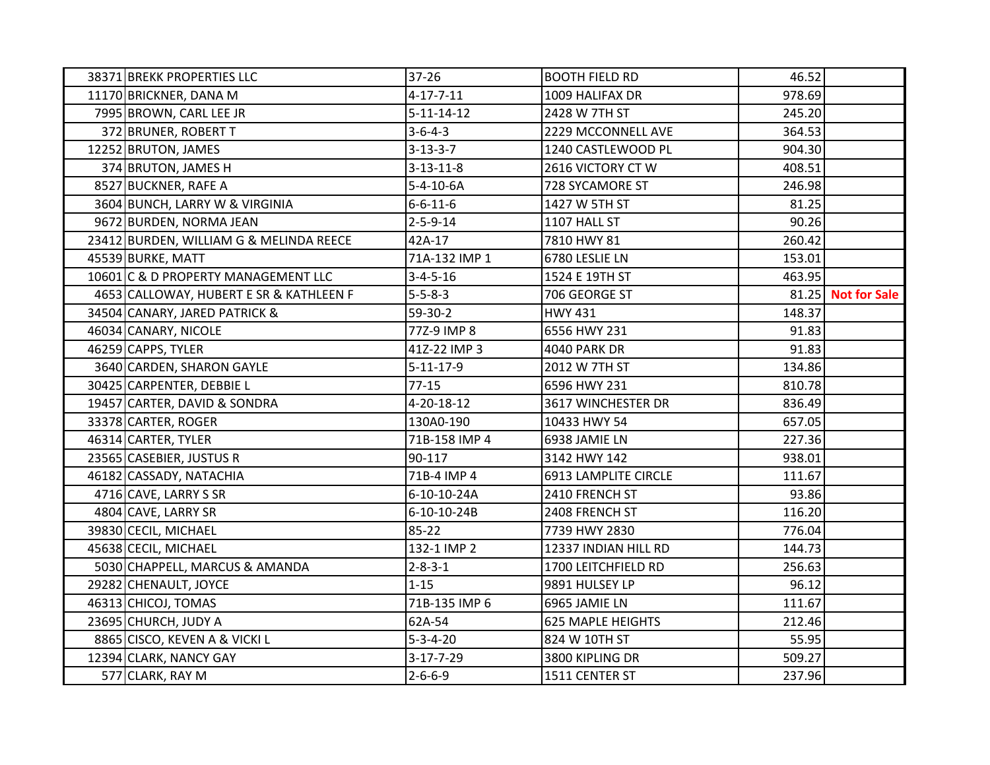| 38371 BREKK PROPERTIES LLC              | 37-26              | <b>BOOTH FIELD RD</b>    | 46.52  |                    |
|-----------------------------------------|--------------------|--------------------------|--------|--------------------|
| 11170 BRICKNER, DANA M                  | $4 - 17 - 7 - 11$  | 1009 HALIFAX DR          | 978.69 |                    |
| 7995 BROWN, CARL LEE JR                 | $5 - 11 - 14 - 12$ | 2428 W 7TH ST            | 245.20 |                    |
| 372 BRUNER, ROBERT T                    | $3 - 6 - 4 - 3$    | 2229 MCCONNELL AVE       | 364.53 |                    |
| 12252 BRUTON, JAMES                     | $3 - 13 - 3 - 7$   | 1240 CASTLEWOOD PL       | 904.30 |                    |
| 374 BRUTON, JAMES H                     | $3 - 13 - 11 - 8$  | 2616 VICTORY CT W        | 408.51 |                    |
| 8527 BUCKNER, RAFE A                    | $5 - 4 - 10 - 6A$  | 728 SYCAMORE ST          | 246.98 |                    |
| 3604 BUNCH, LARRY W & VIRGINIA          | $6 - 6 - 11 - 6$   | 1427 W 5TH ST            | 81.25  |                    |
| 9672 BURDEN, NORMA JEAN                 | $2 - 5 - 9 - 14$   | 1107 HALL ST             | 90.26  |                    |
| 23412 BURDEN, WILLIAM G & MELINDA REECE | 42A-17             | 7810 HWY 81              | 260.42 |                    |
| 45539 BURKE, MATT                       | 71A-132 IMP 1      | 6780 LESLIE LN           | 153.01 |                    |
| 10601 C & D PROPERTY MANAGEMENT LLC     | $3 - 4 - 5 - 16$   | 1524 E 19TH ST           | 463.95 |                    |
| 4653 CALLOWAY, HUBERT E SR & KATHLEEN F | $5 - 5 - 8 - 3$    | 706 GEORGE ST            |        | 81.25 Not for Sale |
| 34504 CANARY, JARED PATRICK &           | 59-30-2            | <b>HWY 431</b>           | 148.37 |                    |
| 46034 CANARY, NICOLE                    | 77Z-9 IMP 8        | 6556 HWY 231             | 91.83  |                    |
| 46259 CAPPS, TYLER                      | 41Z-22 IMP 3       | <b>4040 PARK DR</b>      | 91.83  |                    |
| 3640 CARDEN, SHARON GAYLE               | $5 - 11 - 17 - 9$  | 2012 W 7TH ST            | 134.86 |                    |
| 30425 CARPENTER, DEBBIE L               | $77 - 15$          | 6596 HWY 231             | 810.78 |                    |
| 19457 CARTER, DAVID & SONDRA            | 4-20-18-12         | 3617 WINCHESTER DR       | 836.49 |                    |
| 33378 CARTER, ROGER                     | 130A0-190          | 10433 HWY 54             | 657.05 |                    |
| 46314 CARTER, TYLER                     | 71B-158 IMP 4      | 6938 JAMIE LN            | 227.36 |                    |
| 23565 CASEBIER, JUSTUS R                | 90-117             | 3142 HWY 142             | 938.01 |                    |
| 46182 CASSADY, NATACHIA                 | 71B-4 IMP 4        | 6913 LAMPLITE CIRCLE     | 111.67 |                    |
| 4716 CAVE, LARRY S SR                   | 6-10-10-24A        | 2410 FRENCH ST           | 93.86  |                    |
| 4804 CAVE, LARRY SR                     | 6-10-10-24B        | 2408 FRENCH ST           | 116.20 |                    |
| 39830 CECIL, MICHAEL                    | 85-22              | 7739 HWY 2830            | 776.04 |                    |
| 45638 CECIL, MICHAEL                    | 132-1 IMP 2        | 12337 INDIAN HILL RD     | 144.73 |                    |
| 5030 CHAPPELL, MARCUS & AMANDA          | $2 - 8 - 3 - 1$    | 1700 LEITCHFIELD RD      | 256.63 |                    |
| 29282 CHENAULT, JOYCE                   | $1 - 15$           | 9891 HULSEY LP           | 96.12  |                    |
| 46313 CHICOJ, TOMAS                     | 71B-135 IMP 6      | 6965 JAMIE LN            | 111.67 |                    |
| 23695 CHURCH, JUDY A                    | 62A-54             | <b>625 MAPLE HEIGHTS</b> | 212.46 |                    |
| 8865 CISCO, KEVEN A & VICKI L           | $5 - 3 - 4 - 20$   | 824 W 10TH ST            | 55.95  |                    |
| 12394 CLARK, NANCY GAY                  | $3 - 17 - 7 - 29$  | 3800 KIPLING DR          | 509.27 |                    |
| 577 CLARK, RAY M                        | $2 - 6 - 6 - 9$    | 1511 CENTER ST           | 237.96 |                    |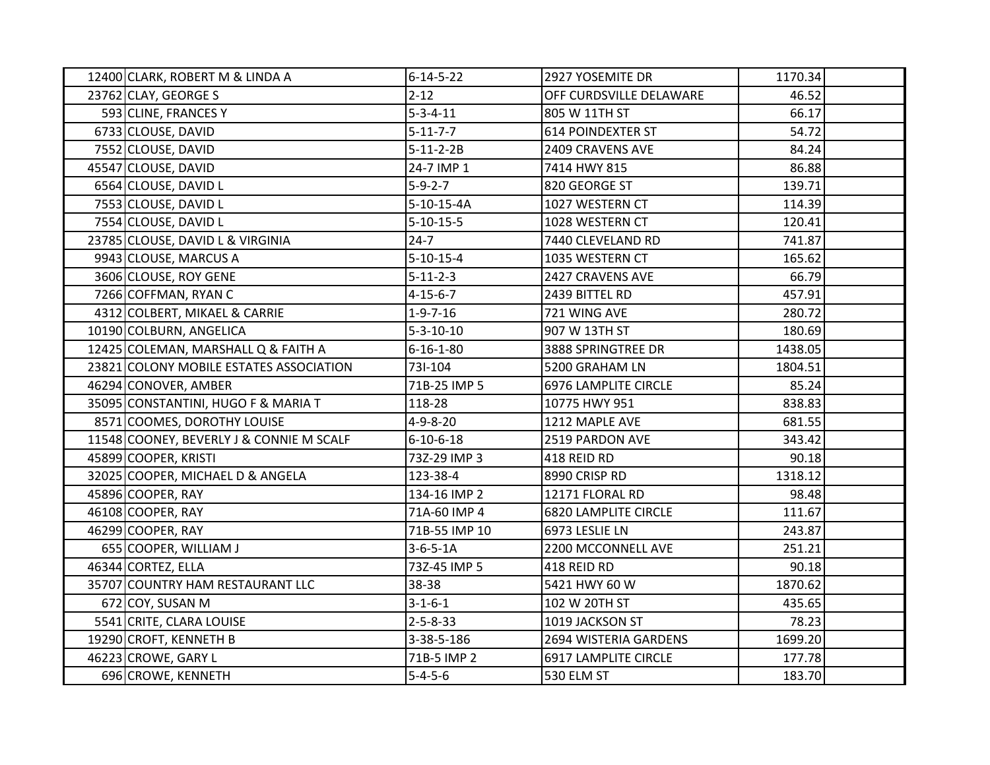| 12400 CLARK, ROBERT M & LINDA A          | $6 - 14 - 5 - 22$ | 2927 YOSEMITE DR            | 1170.34 |  |
|------------------------------------------|-------------------|-----------------------------|---------|--|
| 23762 CLAY, GEORGE S                     | $2 - 12$          | OFF CURDSVILLE DELAWARE     | 46.52   |  |
| 593 CLINE, FRANCES Y                     | $5 - 3 - 4 - 11$  | 805 W 11TH ST               | 66.17   |  |
| 6733 CLOUSE, DAVID                       | $5 - 11 - 7 - 7$  | <b>614 POINDEXTER ST</b>    | 54.72   |  |
| 7552 CLOUSE, DAVID                       | $5 - 11 - 2 - 2B$ | 2409 CRAVENS AVE            | 84.24   |  |
| 45547 CLOUSE, DAVID                      | 24-7 IMP 1        | 7414 HWY 815                | 86.88   |  |
| 6564 CLOUSE, DAVID L                     | $5-9-2-7$         | 820 GEORGE ST               | 139.71  |  |
| 7553 CLOUSE, DAVID L                     | 5-10-15-4A        | 1027 WESTERN CT             | 114.39  |  |
| 7554 CLOUSE, DAVID L                     | $5 - 10 - 15 - 5$ | 1028 WESTERN CT             | 120.41  |  |
| 23785 CLOUSE, DAVID L & VIRGINIA         | $24 - 7$          | 7440 CLEVELAND RD           | 741.87  |  |
| 9943 CLOUSE, MARCUS A                    | $5 - 10 - 15 - 4$ | 1035 WESTERN CT             | 165.62  |  |
| 3606 CLOUSE, ROY GENE                    | $5 - 11 - 2 - 3$  | 2427 CRAVENS AVE            | 66.79   |  |
| 7266 COFFMAN, RYAN C                     | $4 - 15 - 6 - 7$  | 2439 BITTEL RD              | 457.91  |  |
| 4312 COLBERT, MIKAEL & CARRIE            | $1 - 9 - 7 - 16$  | 721 WING AVE                | 280.72  |  |
| 10190 COLBURN, ANGELICA                  | $5 - 3 - 10 - 10$ | 907 W 13TH ST               | 180.69  |  |
| 12425 COLEMAN, MARSHALL Q & FAITH A      | $6 - 16 - 1 - 80$ | 3888 SPRINGTREE DR          | 1438.05 |  |
| 23821 COLONY MOBILE ESTATES ASSOCIATION  | 73I-104           | 5200 GRAHAM LN              | 1804.51 |  |
| 46294 CONOVER, AMBER                     | 71B-25 IMP 5      | <b>6976 LAMPLITE CIRCLE</b> | 85.24   |  |
| 35095 CONSTANTINI, HUGO F & MARIA T      | 118-28            | 10775 HWY 951               | 838.83  |  |
| 8571 COOMES, DOROTHY LOUISE              | $4 - 9 - 8 - 20$  | 1212 MAPLE AVE              | 681.55  |  |
| 11548 COONEY, BEVERLY J & CONNIE M SCALF | $6 - 10 - 6 - 18$ | 2519 PARDON AVE             | 343.42  |  |
| 45899 COOPER, KRISTI                     | 73Z-29 IMP 3      | 418 REID RD                 | 90.18   |  |
| 32025 COOPER, MICHAEL D & ANGELA         | 123-38-4          | 8990 CRISP RD               | 1318.12 |  |
| 45896 COOPER, RAY                        | 134-16 IMP 2      | 12171 FLORAL RD             | 98.48   |  |
| 46108 COOPER, RAY                        | 71A-60 IMP 4      | <b>6820 LAMPLITE CIRCLE</b> | 111.67  |  |
| 46299 COOPER, RAY                        | 71B-55 IMP 10     | 6973 LESLIE LN              | 243.87  |  |
| 655 COOPER, WILLIAM J                    | $3 - 6 - 5 - 1A$  | 2200 MCCONNELL AVE          | 251.21  |  |
| 46344 CORTEZ, ELLA                       | 73Z-45 IMP 5      | 418 REID RD                 | 90.18   |  |
| 35707 COUNTRY HAM RESTAURANT LLC         | 38-38             | 5421 HWY 60 W               | 1870.62 |  |
| 672 COY, SUSAN M                         | $3 - 1 - 6 - 1$   | 102 W 20TH ST               | 435.65  |  |
| 5541 CRITE, CLARA LOUISE                 | $2 - 5 - 8 - 33$  | 1019 JACKSON ST             | 78.23   |  |
| 19290 CROFT, KENNETH B                   | 3-38-5-186        | 2694 WISTERIA GARDENS       | 1699.20 |  |
| 46223 CROWE, GARY L                      | 71B-5 IMP 2       | 6917 LAMPLITE CIRCLE        | 177.78  |  |
| 696 CROWE, KENNETH                       | $5 - 4 - 5 - 6$   | 530 ELM ST                  | 183.70  |  |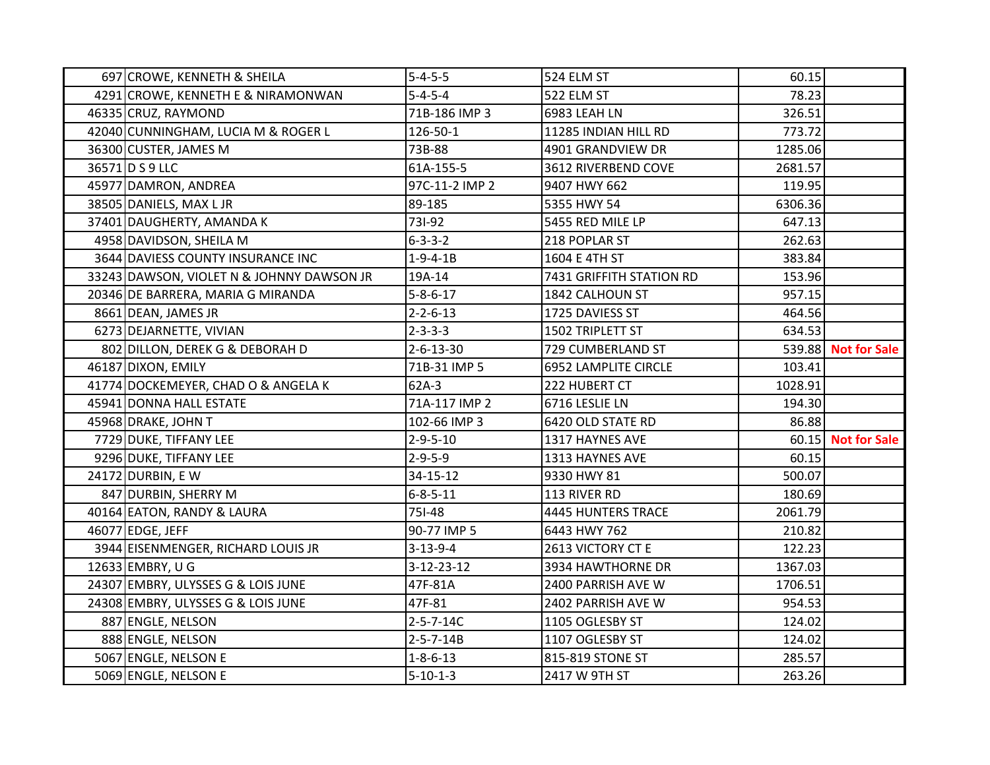| 697 CROWE, KENNETH & SHEILA               | $5 - 4 - 5 - 5$    | 524 ELM ST                  | 60.15   |                     |
|-------------------------------------------|--------------------|-----------------------------|---------|---------------------|
| 4291 CROWE, KENNETH E & NIRAMONWAN        | $5 - 4 - 5 - 4$    | 522 ELM ST                  | 78.23   |                     |
| 46335 CRUZ, RAYMOND                       | 71B-186 IMP 3      | 6983 LEAH LN                | 326.51  |                     |
| 42040 CUNNINGHAM, LUCIA M & ROGER L       | 126-50-1           | 11285 INDIAN HILL RD        | 773.72  |                     |
| 36300 CUSTER, JAMES M                     | 73B-88             | 4901 GRANDVIEW DR           | 1285.06 |                     |
| 36571 D S 9 LLC                           | 61A-155-5          | 3612 RIVERBEND COVE         | 2681.57 |                     |
| 45977 DAMRON, ANDREA                      | 97C-11-2 IMP 2     | 9407 HWY 662                | 119.95  |                     |
| 38505 DANIELS, MAX L JR                   | 89-185             | 5355 HWY 54                 | 6306.36 |                     |
| 37401 DAUGHERTY, AMANDA K                 | 731-92             | 5455 RED MILE LP            | 647.13  |                     |
| 4958 DAVIDSON, SHEILA M                   | $6 - 3 - 3 - 2$    | 218 POPLAR ST               | 262.63  |                     |
| 3644 DAVIESS COUNTY INSURANCE INC         | $1 - 9 - 4 - 1B$   | 1604 E 4TH ST               | 383.84  |                     |
| 33243 DAWSON, VIOLET N & JOHNNY DAWSON JR | 19A-14             | 7431 GRIFFITH STATION RD    | 153.96  |                     |
| 20346 DE BARRERA, MARIA G MIRANDA         | $5 - 8 - 6 - 17$   | 1842 CALHOUN ST             | 957.15  |                     |
| 8661 DEAN, JAMES JR                       | $2 - 2 - 6 - 13$   | 1725 DAVIESS ST             | 464.56  |                     |
| 6273 DEJARNETTE, VIVIAN                   | $2 - 3 - 3 - 3$    | 1502 TRIPLETT ST            | 634.53  |                     |
| 802 DILLON, DEREK G & DEBORAH D           | 2-6-13-30          | 729 CUMBERLAND ST           |         | 539.88 Not for Sale |
| 46187 DIXON, EMILY                        | 71B-31 IMP 5       | <b>6952 LAMPLITE CIRCLE</b> | 103.41  |                     |
| 41774 DOCKEMEYER, CHAD O & ANGELA K       | $62A-3$            | 222 HUBERT CT               | 1028.91 |                     |
| 45941 DONNA HALL ESTATE                   | 71A-117 IMP 2      | 6716 LESLIE LN              | 194.30  |                     |
| 45968 DRAKE, JOHN T                       | 102-66 IMP 3       | 6420 OLD STATE RD           | 86.88   |                     |
| 7729 DUKE, TIFFANY LEE                    | $2 - 9 - 5 - 10$   | 1317 HAYNES AVE             |         | 60.15 Not for Sale  |
| 9296 DUKE, TIFFANY LEE                    | $2 - 9 - 5 - 9$    | 1313 HAYNES AVE             | 60.15   |                     |
| 24172 DURBIN, E W                         | 34-15-12           | 9330 HWY 81                 | 500.07  |                     |
| 847 DURBIN, SHERRY M                      | $6 - 8 - 5 - 11$   | 113 RIVER RD                | 180.69  |                     |
| 40164 EATON, RANDY & LAURA                | 751-48             | 4445 HUNTERS TRACE          | 2061.79 |                     |
| 46077 EDGE, JEFF                          | 90-77 IMP 5        | 6443 HWY 762                | 210.82  |                     |
| 3944 EISENMENGER, RICHARD LOUIS JR        | $3 - 13 - 9 - 4$   | 2613 VICTORY CT E           | 122.23  |                     |
| 12633 EMBRY, U G                          | $3 - 12 - 23 - 12$ | 3934 HAWTHORNE DR           | 1367.03 |                     |
| 24307 EMBRY, ULYSSES G & LOIS JUNE        | 47F-81A            | 2400 PARRISH AVE W          | 1706.51 |                     |
| 24308 EMBRY, ULYSSES G & LOIS JUNE        | 47F-81             | 2402 PARRISH AVE W          | 954.53  |                     |
| 887 ENGLE, NELSON                         | $2 - 5 - 7 - 14C$  | 1105 OGLESBY ST             | 124.02  |                     |
| 888 ENGLE, NELSON                         | $2 - 5 - 7 - 14B$  | 1107 OGLESBY ST             | 124.02  |                     |
| 5067 ENGLE, NELSON E                      | $1 - 8 - 6 - 13$   | 815-819 STONE ST            | 285.57  |                     |
| 5069 ENGLE, NELSON E                      | $5 - 10 - 1 - 3$   | 2417 W 9TH ST               | 263.26  |                     |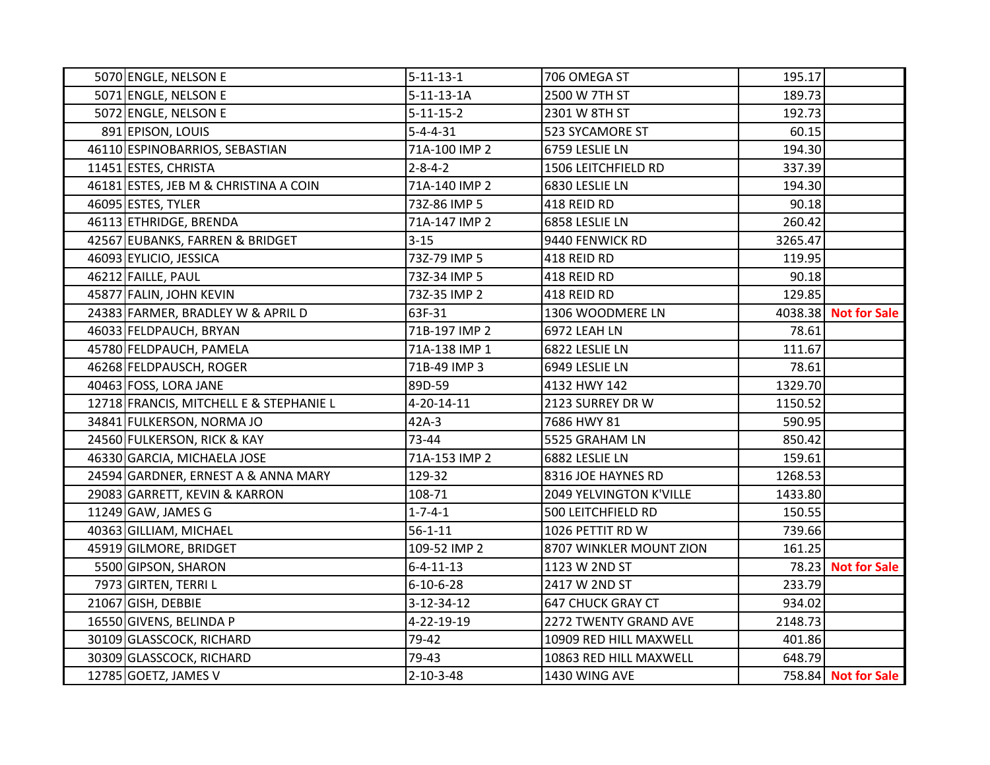| 5070 ENGLE, NELSON E                    | $5 - 11 - 13 - 1$ | 706 OMEGA ST             | 195.17  |                      |
|-----------------------------------------|-------------------|--------------------------|---------|----------------------|
| 5071 ENGLE, NELSON E                    | $5-11-13-1A$      | 2500 W 7TH ST            | 189.73  |                      |
| 5072 ENGLE, NELSON E                    | $5 - 11 - 15 - 2$ | 2301 W 8TH ST            | 192.73  |                      |
| 891 EPISON, LOUIS                       | $5 - 4 - 4 - 31$  | 523 SYCAMORE ST          | 60.15   |                      |
| 46110 ESPINOBARRIOS, SEBASTIAN          | 71A-100 IMP 2     | 6759 LESLIE LN           | 194.30  |                      |
| 11451 ESTES, CHRISTA                    | $2 - 8 - 4 - 2$   | 1506 LEITCHFIELD RD      | 337.39  |                      |
| 46181 ESTES, JEB M & CHRISTINA A COIN   | 71A-140 IMP 2     | 6830 LESLIE LN           | 194.30  |                      |
| 46095 ESTES, TYLER                      | 73Z-86 IMP 5      | 418 REID RD              | 90.18   |                      |
| 46113 ETHRIDGE, BRENDA                  | 71A-147 IMP 2     | 6858 LESLIE LN           | 260.42  |                      |
| 42567 EUBANKS, FARREN & BRIDGET         | $3 - 15$          | 9440 FENWICK RD          | 3265.47 |                      |
| 46093 EYLICIO, JESSICA                  | 73Z-79 IMP 5      | 418 REID RD              | 119.95  |                      |
| 46212 FAILLE, PAUL                      | 73Z-34 IMP 5      | 418 REID RD              | 90.18   |                      |
| 45877 FALIN, JOHN KEVIN                 | 73Z-35 IMP 2      | 418 REID RD              | 129.85  |                      |
| 24383 FARMER, BRADLEY W & APRIL D       | 63F-31            | 1306 WOODMERE LN         |         | 4038.38 Not for Sale |
| 46033 FELDPAUCH, BRYAN                  | 71B-197 IMP 2     | 6972 LEAH LN             | 78.61   |                      |
| 45780 FELDPAUCH, PAMELA                 | 71A-138 IMP 1     | 6822 LESLIE LN           | 111.67  |                      |
| 46268 FELDPAUSCH, ROGER                 | 71B-49 IMP 3      | 6949 LESLIE LN           | 78.61   |                      |
| 40463 FOSS, LORA JANE                   | 89D-59            | 4132 HWY 142             | 1329.70 |                      |
| 12718 FRANCIS, MITCHELL E & STEPHANIE L | 4-20-14-11        | 2123 SURREY DR W         | 1150.52 |                      |
| 34841 FULKERSON, NORMA JO               | 42A-3             | 7686 HWY 81              | 590.95  |                      |
| 24560 FULKERSON, RICK & KAY             | 73-44             | 5525 GRAHAM LN           | 850.42  |                      |
| 46330 GARCIA, MICHAELA JOSE             | 71A-153 IMP 2     | 6882 LESLIE LN           | 159.61  |                      |
| 24594 GARDNER, ERNEST A & ANNA MARY     | 129-32            | 8316 JOE HAYNES RD       | 1268.53 |                      |
| 29083 GARRETT, KEVIN & KARRON           | 108-71            | 2049 YELVINGTON K'VILLE  | 1433.80 |                      |
| 11249 GAW, JAMES G                      | $1 - 7 - 4 - 1$   | 500 LEITCHFIELD RD       | 150.55  |                      |
| 40363 GILLIAM, MICHAEL                  | $56 - 1 - 11$     | 1026 PETTIT RD W         | 739.66  |                      |
| 45919 GILMORE, BRIDGET                  | 109-52 IMP 2      | 8707 WINKLER MOUNT ZION  | 161.25  |                      |
| 5500 GIPSON, SHARON                     | $6 - 4 - 11 - 13$ | 1123 W 2ND ST            |         | 78.23 Not for Sale   |
| 7973 GIRTEN, TERRI L                    | $6 - 10 - 6 - 28$ | 2417 W 2ND ST            | 233.79  |                      |
| 21067 GISH, DEBBIE                      | 3-12-34-12        | <b>647 CHUCK GRAY CT</b> | 934.02  |                      |
| 16550 GIVENS, BELINDA P                 | 4-22-19-19        | 2272 TWENTY GRAND AVE    | 2148.73 |                      |
| 30109 GLASSCOCK, RICHARD                | 79-42             | 10909 RED HILL MAXWELL   | 401.86  |                      |
| 30309 GLASSCOCK, RICHARD                | 79-43             | 10863 RED HILL MAXWELL   | 648.79  |                      |
| 12785 GOETZ, JAMES V                    | $2 - 10 - 3 - 48$ | 1430 WING AVE            |         | 758.84 Not for Sale  |
|                                         |                   |                          |         |                      |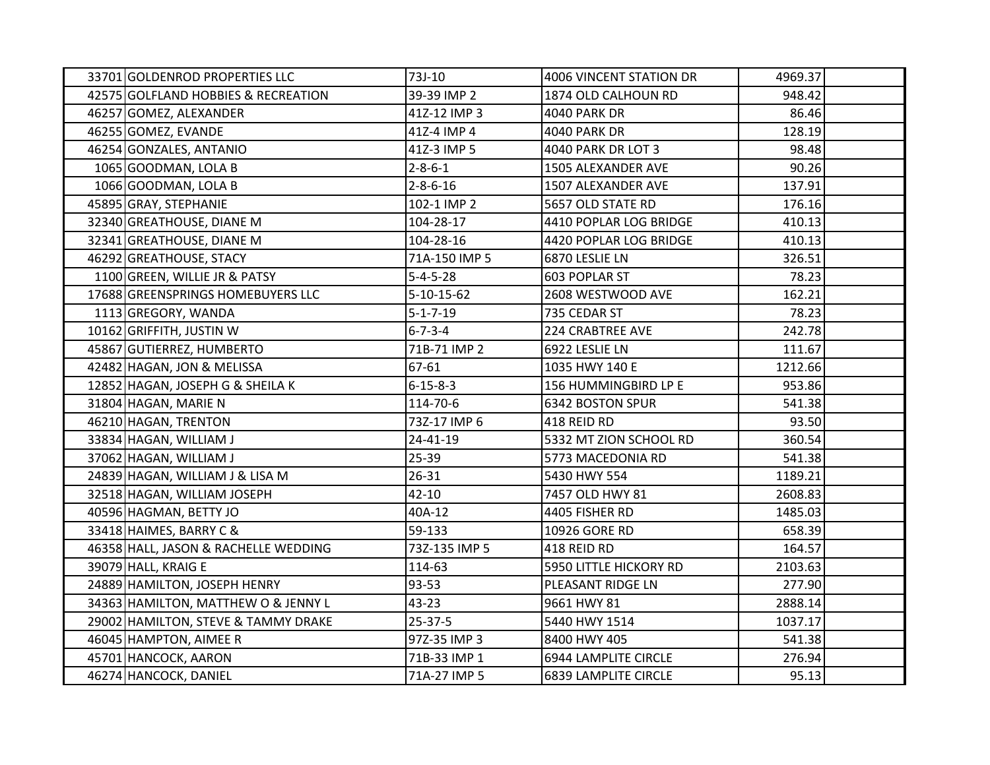| 33701 GOLDENROD PROPERTIES LLC       | 73J-10             | 4006 VINCENT STATION DR     | 4969.37 |  |
|--------------------------------------|--------------------|-----------------------------|---------|--|
| 42575 GOLFLAND HOBBIES & RECREATION  | 39-39 IMP 2        | 1874 OLD CALHOUN RD         | 948.42  |  |
| 46257 GOMEZ, ALEXANDER               | 41Z-12 IMP 3       | <b>4040 PARK DR</b>         | 86.46   |  |
| 46255 GOMEZ, EVANDE                  | 41Z-4 IMP 4        | <b>4040 PARK DR</b>         | 128.19  |  |
| 46254 GONZALES, ANTANIO              | 41Z-3 IMP 5        | 4040 PARK DR LOT 3          | 98.48   |  |
| 1065 GOODMAN, LOLA B                 | $2 - 8 - 6 - 1$    | 1505 ALEXANDER AVE          | 90.26   |  |
| 1066 GOODMAN, LOLA B                 | $2 - 8 - 6 - 16$   | 1507 ALEXANDER AVE          | 137.91  |  |
| 45895 GRAY, STEPHANIE                | 102-1 IMP 2        | 5657 OLD STATE RD           | 176.16  |  |
| 32340 GREATHOUSE, DIANE M            | 104-28-17          | 4410 POPLAR LOG BRIDGE      | 410.13  |  |
| 32341 GREATHOUSE, DIANE M            | 104-28-16          | 4420 POPLAR LOG BRIDGE      | 410.13  |  |
| 46292 GREATHOUSE, STACY              | 71A-150 IMP 5      | 6870 LESLIE LN              | 326.51  |  |
| 1100 GREEN, WILLIE JR & PATSY        | $5 - 4 - 5 - 28$   | 603 POPLAR ST               | 78.23   |  |
| 17688 GREENSPRINGS HOMEBUYERS LLC    | $5 - 10 - 15 - 62$ | 2608 WESTWOOD AVE           | 162.21  |  |
| 1113 GREGORY, WANDA                  | $5 - 1 - 7 - 19$   | 735 CEDAR ST                | 78.23   |  |
| 10162 GRIFFITH, JUSTIN W             | $6 - 7 - 3 - 4$    | <b>224 CRABTREE AVE</b>     | 242.78  |  |
| 45867 GUTIERREZ, HUMBERTO            | 71B-71 IMP 2       | 6922 LESLIE LN              | 111.67  |  |
| 42482 HAGAN, JON & MELISSA           | 67-61              | 1035 HWY 140 E              | 1212.66 |  |
| 12852 HAGAN, JOSEPH G & SHEILA K     | $6 - 15 - 8 - 3$   | 156 HUMMINGBIRD LP E        | 953.86  |  |
| 31804 HAGAN, MARIE N                 | 114-70-6           | <b>6342 BOSTON SPUR</b>     | 541.38  |  |
| 46210 HAGAN, TRENTON                 | 73Z-17 IMP 6       | 418 REID RD                 | 93.50   |  |
| 33834 HAGAN, WILLIAM J               | 24-41-19           | 5332 MT ZION SCHOOL RD      | 360.54  |  |
| 37062 HAGAN, WILLIAM J               | 25-39              | 5773 MACEDONIA RD           | 541.38  |  |
| 24839 HAGAN, WILLIAM J & LISA M      | 26-31              | 5430 HWY 554                | 1189.21 |  |
| 32518 HAGAN, WILLIAM JOSEPH          | $42 - 10$          | 7457 OLD HWY 81             | 2608.83 |  |
| 40596 HAGMAN, BETTY JO               | 40A-12             | 4405 FISHER RD              | 1485.03 |  |
| 33418 HAIMES, BARRY C &              | 59-133             | 10926 GORE RD               | 658.39  |  |
| 46358 HALL, JASON & RACHELLE WEDDING | 73Z-135 IMP 5      | 418 REID RD                 | 164.57  |  |
| 39079 HALL, KRAIG E                  | 114-63             | 5950 LITTLE HICKORY RD      | 2103.63 |  |
| 24889 HAMILTON, JOSEPH HENRY         | 93-53              | PLEASANT RIDGE LN           | 277.90  |  |
| 34363 HAMILTON, MATTHEW O & JENNY L  | 43-23              | 9661 HWY 81                 | 2888.14 |  |
| 29002 HAMILTON, STEVE & TAMMY DRAKE  | 25-37-5            | 5440 HWY 1514               | 1037.17 |  |
| 46045 HAMPTON, AIMEE R               | 97Z-35 IMP 3       | 8400 HWY 405                | 541.38  |  |
| 45701 HANCOCK, AARON                 | 71B-33 IMP 1       | 6944 LAMPLITE CIRCLE        | 276.94  |  |
| 46274 HANCOCK, DANIEL                | 71A-27 IMP 5       | <b>6839 LAMPLITE CIRCLE</b> | 95.13   |  |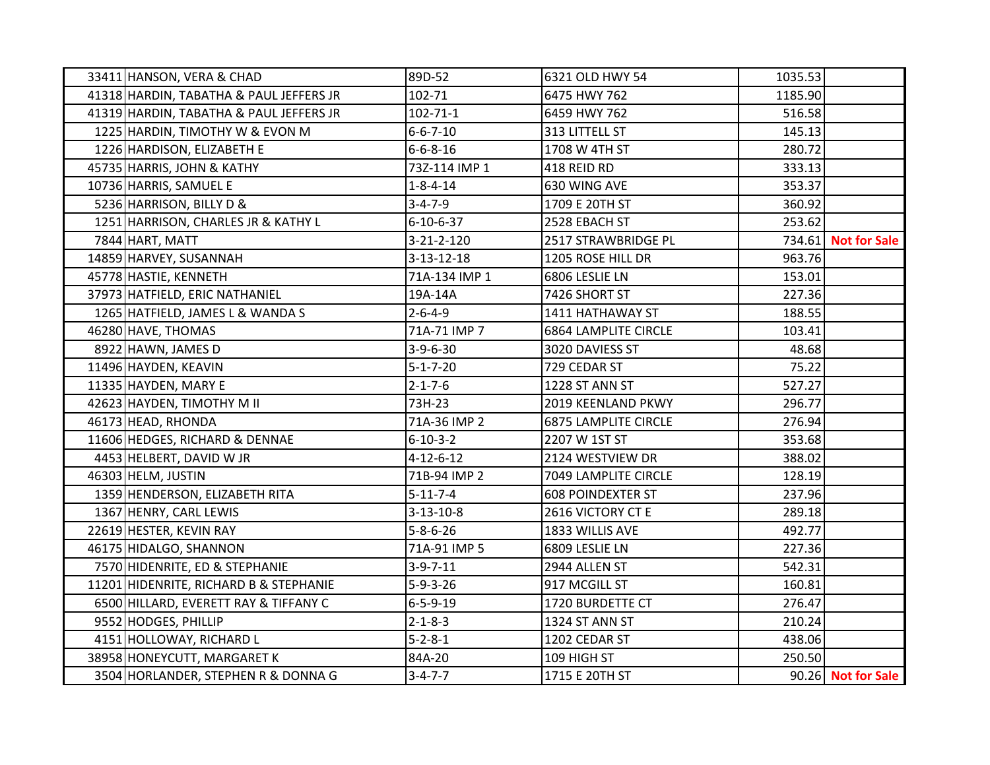| 33411 HANSON, VERA & CHAD               | 89D-52            | 6321 OLD HWY 54             | 1035.53 |                     |
|-----------------------------------------|-------------------|-----------------------------|---------|---------------------|
| 41318 HARDIN, TABATHA & PAUL JEFFERS JR | 102-71            | 6475 HWY 762                | 1185.90 |                     |
| 41319 HARDIN, TABATHA & PAUL JEFFERS JR | $102 - 71 - 1$    | 6459 HWY 762                | 516.58  |                     |
| 1225 HARDIN, TIMOTHY W & EVON M         | $6 - 6 - 7 - 10$  | 313 LITTELL ST              | 145.13  |                     |
| 1226 HARDISON, ELIZABETH E              | $6 - 6 - 8 - 16$  | 1708 W 4TH ST               | 280.72  |                     |
| 45735 HARRIS, JOHN & KATHY              | 73Z-114 IMP 1     | 418 REID RD                 | 333.13  |                     |
| 10736 HARRIS, SAMUEL E                  | $1 - 8 - 4 - 14$  | 630 WING AVE                | 353.37  |                     |
| 5236 HARRISON, BILLY D &                | $3 - 4 - 7 - 9$   | 1709 E 20TH ST              | 360.92  |                     |
| 1251 HARRISON, CHARLES JR & KATHY L     | $6 - 10 - 6 - 37$ | 2528 EBACH ST               | 253.62  |                     |
| 7844 HART, MATT                         | 3-21-2-120        | 2517 STRAWBRIDGE PL         |         | 734.61 Not for Sale |
| 14859 HARVEY, SUSANNAH                  | $3-13-12-18$      | 1205 ROSE HILL DR           | 963.76  |                     |
| 45778 HASTIE, KENNETH                   | 71A-134 IMP 1     | 6806 LESLIE LN              | 153.01  |                     |
| 37973 HATFIELD, ERIC NATHANIEL          | 19A-14A           | 7426 SHORT ST               | 227.36  |                     |
| 1265 HATFIELD, JAMES L & WANDA S        | $2 - 6 - 4 - 9$   | 1411 HATHAWAY ST            | 188.55  |                     |
| 46280 HAVE, THOMAS                      | 71A-71 IMP 7      | <b>6864 LAMPLITE CIRCLE</b> | 103.41  |                     |
| 8922 HAWN, JAMES D                      | $3-9-6-30$        | 3020 DAVIESS ST             | 48.68   |                     |
| 11496 HAYDEN, KEAVIN                    | $5 - 1 - 7 - 20$  | 729 CEDAR ST                | 75.22   |                     |
| 11335 HAYDEN, MARY E                    | $2 - 1 - 7 - 6$   | 1228 ST ANN ST              | 527.27  |                     |
| 42623 HAYDEN, TIMOTHY M II              | 73H-23            | 2019 KEENLAND PKWY          | 296.77  |                     |
| 46173 HEAD, RHONDA                      | 71A-36 IMP 2      | <b>6875 LAMPLITE CIRCLE</b> | 276.94  |                     |
| 11606 HEDGES, RICHARD & DENNAE          | $6 - 10 - 3 - 2$  | 2207 W 1ST ST               | 353.68  |                     |
| 4453 HELBERT, DAVID W JR                | $4 - 12 - 6 - 12$ | 2124 WESTVIEW DR            | 388.02  |                     |
| 46303 HELM, JUSTIN                      | 71B-94 IMP 2      | 7049 LAMPLITE CIRCLE        | 128.19  |                     |
| 1359 HENDERSON, ELIZABETH RITA          | $5 - 11 - 7 - 4$  | <b>608 POINDEXTER ST</b>    | 237.96  |                     |
| 1367 HENRY, CARL LEWIS                  | $3-13-10-8$       | 2616 VICTORY CT E           | 289.18  |                     |
| 22619 HESTER, KEVIN RAY                 | $5 - 8 - 6 - 26$  | 1833 WILLIS AVE             | 492.77  |                     |
| 46175 HIDALGO, SHANNON                  | 71A-91 IMP 5      | 6809 LESLIE LN              | 227.36  |                     |
| 7570 HIDENRITE, ED & STEPHANIE          | $3-9-7-11$        | 2944 ALLEN ST               | 542.31  |                     |
| 11201 HIDENRITE, RICHARD B & STEPHANIE  | $5 - 9 - 3 - 26$  | 917 MCGILL ST               | 160.81  |                     |
| 6500 HILLARD, EVERETT RAY & TIFFANY C   | $6 - 5 - 9 - 19$  | 1720 BURDETTE CT            | 276.47  |                     |
| 9552 HODGES, PHILLIP                    | $2 - 1 - 8 - 3$   | 1324 ST ANN ST              | 210.24  |                     |
| 4151 HOLLOWAY, RICHARD L                | $5 - 2 - 8 - 1$   | 1202 CEDAR ST               | 438.06  |                     |
| 38958 HONEYCUTT, MARGARET K             | 84A-20            | 109 HIGH ST                 | 250.50  |                     |
| 3504 HORLANDER, STEPHEN R & DONNA G     | $3 - 4 - 7 - 7$   | 1715 E 20TH ST              |         | 90.26 Not for Sale  |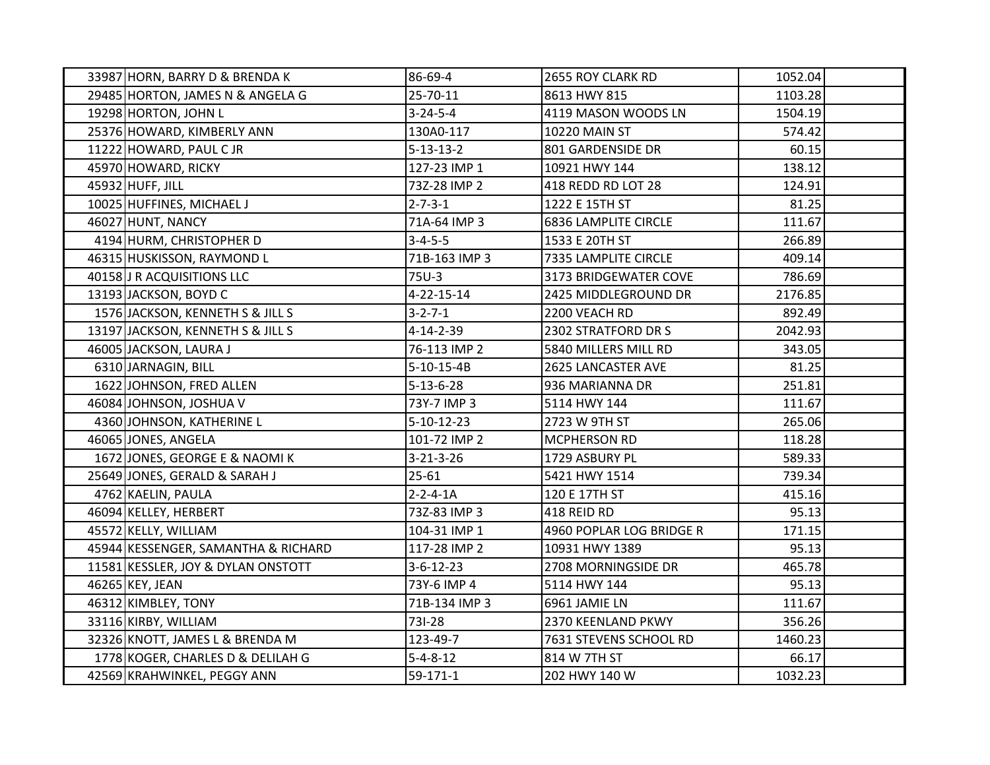| 33987 HORN, BARRY D & BRENDA K      | 86-69-4            | 2655 ROY CLARK RD           | 1052.04 |  |
|-------------------------------------|--------------------|-----------------------------|---------|--|
| 29485 HORTON, JAMES N & ANGELA G    | 25-70-11           | 8613 HWY 815                | 1103.28 |  |
| 19298 HORTON, JOHN L                | $3 - 24 - 5 - 4$   | 4119 MASON WOODS LN         | 1504.19 |  |
| 25376 HOWARD, KIMBERLY ANN          | 130A0-117          | 10220 MAIN ST               | 574.42  |  |
| 11222 HOWARD, PAUL CJR              | $5 - 13 - 13 - 2$  | 801 GARDENSIDE DR           | 60.15   |  |
| 45970 HOWARD, RICKY                 | 127-23 IMP 1       | 10921 HWY 144               | 138.12  |  |
| 45932 HUFF, JILL                    | 73Z-28 IMP 2       | 418 REDD RD LOT 28          | 124.91  |  |
| 10025 HUFFINES, MICHAEL J           | $2 - 7 - 3 - 1$    | 1222 E 15TH ST              | 81.25   |  |
| 46027 HUNT, NANCY                   | 71A-64 IMP 3       | <b>6836 LAMPLITE CIRCLE</b> | 111.67  |  |
| 4194 HURM, CHRISTOPHER D            | $3 - 4 - 5 - 5$    | 1533 E 20TH ST              | 266.89  |  |
| 46315 HUSKISSON, RAYMOND L          | 71B-163 IMP 3      | 7335 LAMPLITE CIRCLE        | 409.14  |  |
| 40158 J R ACQUISITIONS LLC          | 75U-3              | 3173 BRIDGEWATER COVE       | 786.69  |  |
| 13193 JACKSON, BOYD C               | $4 - 22 - 15 - 14$ | 2425 MIDDLEGROUND DR        | 2176.85 |  |
| 1576 JACKSON, KENNETH S & JILL S    | $3 - 2 - 7 - 1$    | 2200 VEACH RD               | 892.49  |  |
| 13197 JACKSON, KENNETH S & JILL S   | 4-14-2-39          | 2302 STRATFORD DR S         | 2042.93 |  |
| 46005 JACKSON, LAURA J              | 76-113 IMP 2       | 5840 MILLERS MILL RD        | 343.05  |  |
| 6310 JARNAGIN, BILL                 | $5-10-15-4B$       | 2625 LANCASTER AVE          | 81.25   |  |
| 1622 JOHNSON, FRED ALLEN            | $5 - 13 - 6 - 28$  | 936 MARIANNA DR             | 251.81  |  |
| 46084 JOHNSON, JOSHUA V             | 73Y-7 IMP 3        | 5114 HWY 144                | 111.67  |  |
| 4360 JOHNSON, KATHERINE L           | 5-10-12-23         | 2723 W 9TH ST               | 265.06  |  |
| 46065 JONES, ANGELA                 | 101-72 IMP 2       | MCPHERSON RD                | 118.28  |  |
| 1672 JONES, GEORGE E & NAOMI K      | $3 - 21 - 3 - 26$  | 1729 ASBURY PL              | 589.33  |  |
| 25649 JONES, GERALD & SARAH J       | $25 - 61$          | 5421 HWY 1514               | 739.34  |  |
| 4762 KAELIN, PAULA                  | $2 - 2 - 4 - 1A$   | 120 E 17TH ST               | 415.16  |  |
| 46094 KELLEY, HERBERT               | 73Z-83 IMP 3       | 418 REID RD                 | 95.13   |  |
| 45572 KELLY, WILLIAM                | 104-31 IMP 1       | 4960 POPLAR LOG BRIDGE R    | 171.15  |  |
| 45944 KESSENGER, SAMANTHA & RICHARD | 117-28 IMP 2       | 10931 HWY 1389              | 95.13   |  |
| 11581 KESSLER, JOY & DYLAN ONSTOTT  | $3 - 6 - 12 - 23$  | 2708 MORNINGSIDE DR         | 465.78  |  |
| 46265 KEY, JEAN                     | 73Y-6 IMP 4        | 5114 HWY 144                | 95.13   |  |
| 46312 KIMBLEY, TONY                 | 71B-134 IMP 3      | 6961 JAMIE LN               | 111.67  |  |
| 33116 KIRBY, WILLIAM                | 731-28             | 2370 KEENLAND PKWY          | 356.26  |  |
| 32326 KNOTT, JAMES L & BRENDA M     | 123-49-7           | 7631 STEVENS SCHOOL RD      | 1460.23 |  |
| 1778 KOGER, CHARLES D & DELILAH G   | $5 - 4 - 8 - 12$   | 814 W 7TH ST                | 66.17   |  |
| 42569 KRAHWINKEL, PEGGY ANN         | $59-171-1$         | 202 HWY 140 W               | 1032.23 |  |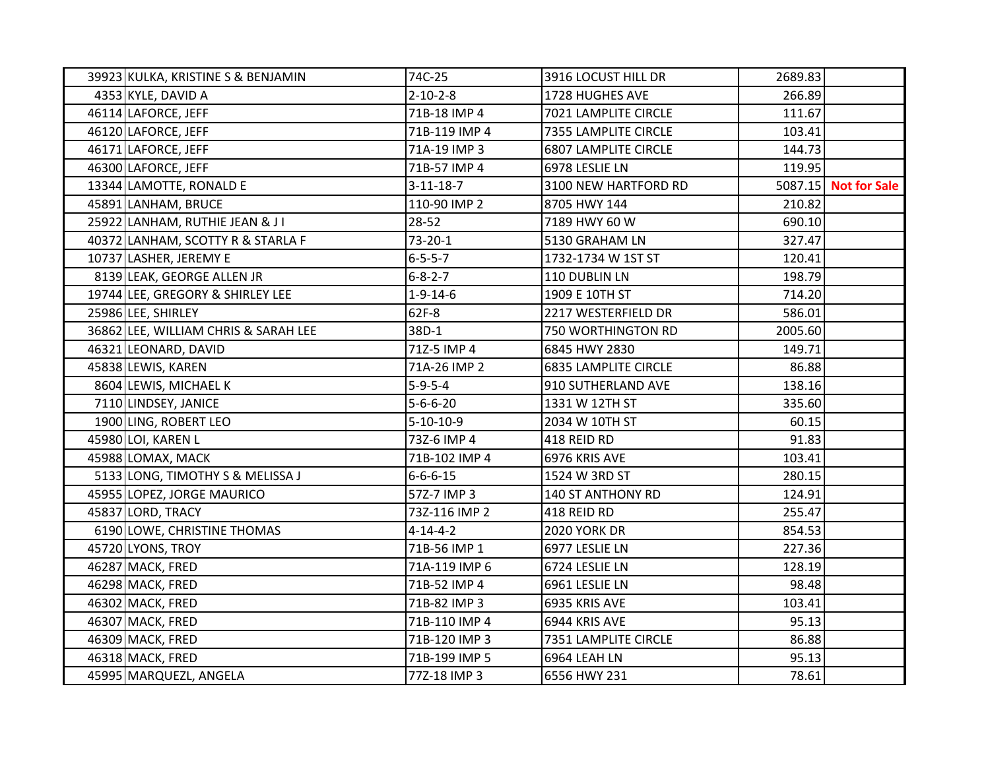| 39923 KULKA, KRISTINE S & BENJAMIN   | 74C-25            | 3916 LOCUST HILL DR         | 2689.83 |                      |
|--------------------------------------|-------------------|-----------------------------|---------|----------------------|
| 4353 KYLE, DAVID A                   | $2 - 10 - 2 - 8$  | 1728 HUGHES AVE             | 266.89  |                      |
| 46114 LAFORCE, JEFF                  | 71B-18 IMP 4      | 7021 LAMPLITE CIRCLE        | 111.67  |                      |
| 46120 LAFORCE, JEFF                  | 71B-119 IMP 4     | 7355 LAMPLITE CIRCLE        | 103.41  |                      |
| 46171 LAFORCE, JEFF                  | 71A-19 IMP 3      | <b>6807 LAMPLITE CIRCLE</b> | 144.73  |                      |
| 46300 LAFORCE, JEFF                  | 71B-57 IMP 4      | 6978 LESLIE LN              | 119.95  |                      |
| 13344 LAMOTTE, RONALD E              | $3 - 11 - 18 - 7$ | 3100 NEW HARTFORD RD        |         | 5087.15 Not for Sale |
| 45891 LANHAM, BRUCE                  | 110-90 IMP 2      | 8705 HWY 144                | 210.82  |                      |
| 25922 LANHAM, RUTHIE JEAN & JI       | 28-52             | 7189 HWY 60 W               | 690.10  |                      |
| 40372 LANHAM, SCOTTY R & STARLA F    | 73-20-1           | 5130 GRAHAM LN              | 327.47  |                      |
| 10737 LASHER, JEREMY E               | $6 - 5 - 5 - 7$   | 1732-1734 W 1ST ST          | 120.41  |                      |
| 8139 LEAK, GEORGE ALLEN JR           | $6 - 8 - 2 - 7$   | 110 DUBLIN LN               | 198.79  |                      |
| 19744 LEE, GREGORY & SHIRLEY LEE     | $1 - 9 - 14 - 6$  | 1909 E 10TH ST              | 714.20  |                      |
| 25986 LEE, SHIRLEY                   | 62F-8             | 2217 WESTERFIELD DR         | 586.01  |                      |
| 36862 LEE, WILLIAM CHRIS & SARAH LEE | 38D-1             | 750 WORTHINGTON RD          | 2005.60 |                      |
| 46321 LEONARD, DAVID                 | 71Z-5 IMP 4       | 6845 HWY 2830               | 149.71  |                      |
| 45838 LEWIS, KAREN                   | 71A-26 IMP 2      | <b>6835 LAMPLITE CIRCLE</b> | 86.88   |                      |
| 8604 LEWIS, MICHAEL K                | $5 - 9 - 5 - 4$   | 910 SUTHERLAND AVE          | 138.16  |                      |
| 7110 LINDSEY, JANICE                 | $5 - 6 - 6 - 20$  | 1331 W 12TH ST              | 335.60  |                      |
| 1900 LING, ROBERT LEO                | $5 - 10 - 10 - 9$ | 2034 W 10TH ST              | 60.15   |                      |
| 45980 LOI, KAREN L                   | 73Z-6 IMP 4       | 418 REID RD                 | 91.83   |                      |
| 45988 LOMAX, MACK                    | 71B-102 IMP 4     | 6976 KRIS AVE               | 103.41  |                      |
| 5133 LONG, TIMOTHY S & MELISSA J     | $6 - 6 - 6 - 15$  | 1524 W 3RD ST               | 280.15  |                      |
| 45955 LOPEZ, JORGE MAURICO           | 57Z-7 IMP 3       | 140 ST ANTHONY RD           | 124.91  |                      |
| 45837 LORD, TRACY                    | 73Z-116 IMP 2     | 418 REID RD                 | 255.47  |                      |
| 6190 LOWE, CHRISTINE THOMAS          | $4 - 14 - 4 - 2$  | <b>2020 YORK DR</b>         | 854.53  |                      |
| 45720 LYONS, TROY                    | 71B-56 IMP 1      | 6977 LESLIE LN              | 227.36  |                      |
| 46287 MACK, FRED                     | 71A-119 IMP 6     | 6724 LESLIE LN              | 128.19  |                      |
| 46298 MACK, FRED                     | 71B-52 IMP 4      | 6961 LESLIE LN              | 98.48   |                      |
| 46302 MACK, FRED                     | 71B-82 IMP 3      | 6935 KRIS AVE               | 103.41  |                      |
| 46307 MACK, FRED                     | 71B-110 IMP 4     | 6944 KRIS AVE               | 95.13   |                      |
| 46309 MACK, FRED                     | 71B-120 IMP 3     | 7351 LAMPLITE CIRCLE        | 86.88   |                      |
| 46318 MACK, FRED                     | 71B-199 IMP 5     | 6964 LEAH LN                | 95.13   |                      |
| 45995 MARQUEZL, ANGELA               | 77Z-18 IMP 3      | 6556 HWY 231                | 78.61   |                      |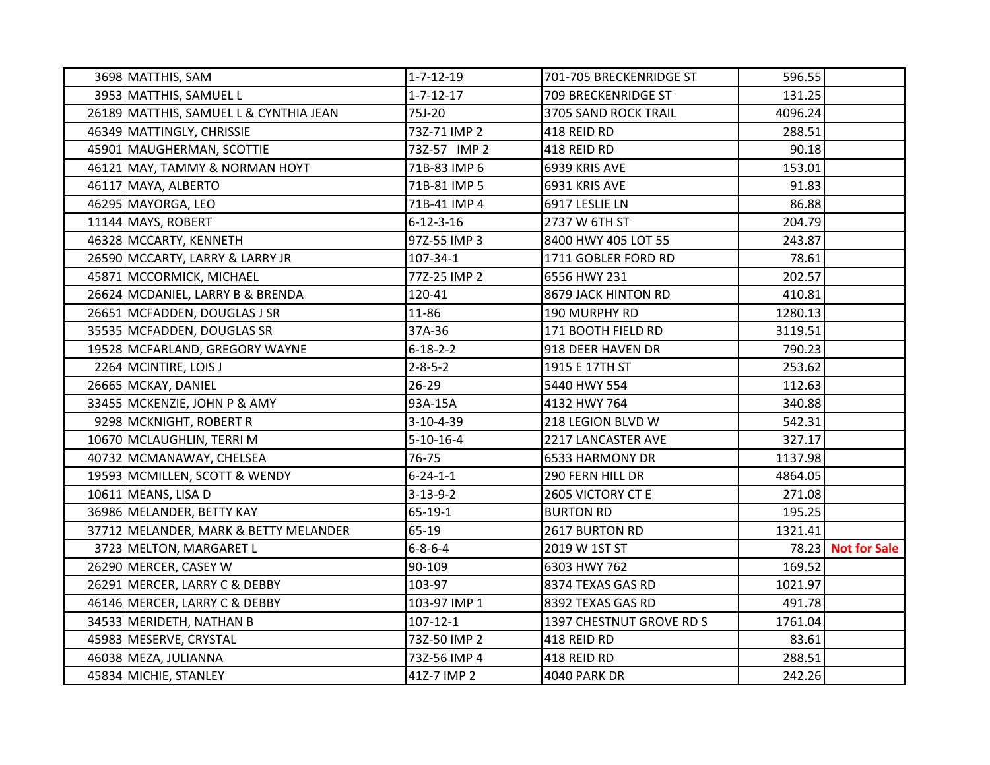| 3698 MATTHIS, SAM                      | $1 - 7 - 12 - 19$ | 701-705 BRECKENRIDGE ST  | 596.55  |                    |
|----------------------------------------|-------------------|--------------------------|---------|--------------------|
| 3953 MATTHIS, SAMUEL L                 | $1 - 7 - 12 - 17$ | 709 BRECKENRIDGE ST      | 131.25  |                    |
| 26189 MATTHIS, SAMUEL L & CYNTHIA JEAN | 75J-20            | 3705 SAND ROCK TRAIL     | 4096.24 |                    |
| 46349 MATTINGLY, CHRISSIE              | 73Z-71 IMP 2      | 418 REID RD              | 288.51  |                    |
| 45901 MAUGHERMAN, SCOTTIE              | 73Z-57 IMP 2      | 418 REID RD              | 90.18   |                    |
| 46121 MAY, TAMMY & NORMAN HOYT         | 71B-83 IMP 6      | 6939 KRIS AVE            | 153.01  |                    |
| 46117 MAYA, ALBERTO                    | 71B-81 IMP 5      | 6931 KRIS AVE            | 91.83   |                    |
| 46295 MAYORGA, LEO                     | 71B-41 IMP 4      | 6917 LESLIE LN           | 86.88   |                    |
| 11144 MAYS, ROBERT                     | $6 - 12 - 3 - 16$ | 2737 W 6TH ST            | 204.79  |                    |
| 46328 MCCARTY, KENNETH                 | 97Z-55 IMP 3      | 8400 HWY 405 LOT 55      | 243.87  |                    |
| 26590 MCCARTY, LARRY & LARRY JR        | 107-34-1          | 1711 GOBLER FORD RD      | 78.61   |                    |
| 45871 MCCORMICK, MICHAEL               | 77Z-25 IMP 2      | 6556 HWY 231             | 202.57  |                    |
| 26624 MCDANIEL, LARRY B & BRENDA       | 120-41            | 8679 JACK HINTON RD      | 410.81  |                    |
| 26651 MCFADDEN, DOUGLAS J SR           | 11-86             | 190 MURPHY RD            | 1280.13 |                    |
| 35535 MCFADDEN, DOUGLAS SR             | 37A-36            | 171 BOOTH FIELD RD       | 3119.51 |                    |
| 19528 MCFARLAND, GREGORY WAYNE         | $6 - 18 - 2 - 2$  | 918 DEER HAVEN DR        | 790.23  |                    |
| 2264 MCINTIRE, LOIS J                  | $2 - 8 - 5 - 2$   | 1915 E 17TH ST           | 253.62  |                    |
| 26665 MCKAY, DANIEL                    | $26 - 29$         | 5440 HWY 554             | 112.63  |                    |
| 33455 MCKENZIE, JOHN P & AMY           | 93A-15A           | 4132 HWY 764             | 340.88  |                    |
| 9298 MCKNIGHT, ROBERT R                | 3-10-4-39         | 218 LEGION BLVD W        | 542.31  |                    |
| 10670 MCLAUGHLIN, TERRI M              | $5 - 10 - 16 - 4$ | 2217 LANCASTER AVE       | 327.17  |                    |
| 40732 MCMANAWAY, CHELSEA               | 76-75             | 6533 HARMONY DR          | 1137.98 |                    |
| 19593 MCMILLEN, SCOTT & WENDY          | $6 - 24 - 1 - 1$  | 290 FERN HILL DR         | 4864.05 |                    |
| 10611 MEANS, LISA D                    | $3 - 13 - 9 - 2$  | 2605 VICTORY CT E        | 271.08  |                    |
| 36986 MELANDER, BETTY KAY              | 65-19-1           | <b>BURTON RD</b>         | 195.25  |                    |
| 37712 MELANDER, MARK & BETTY MELANDER  | 65-19             | 2617 BURTON RD           | 1321.41 |                    |
| 3723 MELTON, MARGARET L                | $6 - 8 - 6 - 4$   | 2019 W 1ST ST            |         | 78.23 Not for Sale |
| 26290 MERCER, CASEY W                  | 90-109            | 6303 HWY 762             | 169.52  |                    |
| 26291 MERCER, LARRY C & DEBBY          | 103-97            | 8374 TEXAS GAS RD        | 1021.97 |                    |
| 46146 MERCER, LARRY C & DEBBY          | 103-97 IMP 1      | 8392 TEXAS GAS RD        | 491.78  |                    |
| 34533 MERIDETH, NATHAN B               | $107 - 12 - 1$    | 1397 CHESTNUT GROVE RD S | 1761.04 |                    |
| 45983 MESERVE, CRYSTAL                 | 73Z-50 IMP 2      | 418 REID RD              | 83.61   |                    |
| 46038 MEZA, JULIANNA                   | 73Z-56 IMP 4      | 418 REID RD              | 288.51  |                    |
| 45834 MICHIE, STANLEY                  | 41Z-7 IMP 2       | <b>4040 PARK DR</b>      | 242.26  |                    |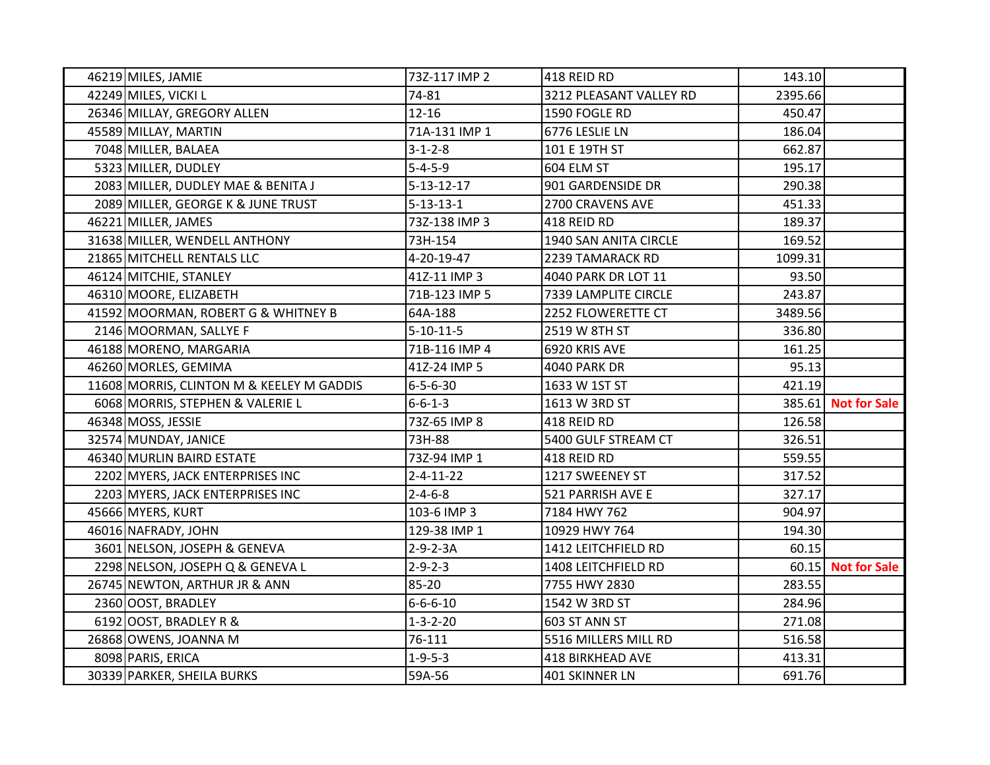| 46219 MILES, JAMIE                        | 73Z-117 IMP 2      | 418 REID RD             | 143.10  |                     |
|-------------------------------------------|--------------------|-------------------------|---------|---------------------|
| 42249 MILES, VICKI L                      | 74-81              | 3212 PLEASANT VALLEY RD | 2395.66 |                     |
| 26346 MILLAY, GREGORY ALLEN               | $12 - 16$          | 1590 FOGLE RD           | 450.47  |                     |
| 45589 MILLAY, MARTIN                      | 71A-131 IMP 1      | 6776 LESLIE LN          | 186.04  |                     |
| 7048 MILLER, BALAEA                       | $3 - 1 - 2 - 8$    | 101 E 19TH ST           | 662.87  |                     |
| 5323 MILLER, DUDLEY                       | $5 - 4 - 5 - 9$    | 604 ELM ST              | 195.17  |                     |
| 2083 MILLER, DUDLEY MAE & BENITA J        | $5 - 13 - 12 - 17$ | 901 GARDENSIDE DR       | 290.38  |                     |
| 2089 MILLER, GEORGE K & JUNE TRUST        | $5 - 13 - 13 - 1$  | 2700 CRAVENS AVE        | 451.33  |                     |
| 46221 MILLER, JAMES                       | 73Z-138 IMP 3      | 418 REID RD             | 189.37  |                     |
| 31638 MILLER, WENDELL ANTHONY             | 73H-154            | 1940 SAN ANITA CIRCLE   | 169.52  |                     |
| 21865 MITCHELL RENTALS LLC                | 4-20-19-47         | 2239 TAMARACK RD        | 1099.31 |                     |
| 46124 MITCHIE, STANLEY                    | 41Z-11 IMP 3       | 4040 PARK DR LOT 11     | 93.50   |                     |
| 46310 MOORE, ELIZABETH                    | 71B-123 IMP 5      | 7339 LAMPLITE CIRCLE    | 243.87  |                     |
| 41592 MOORMAN, ROBERT G & WHITNEY B       | 64A-188            | 2252 FLOWERETTE CT      | 3489.56 |                     |
| 2146 MOORMAN, SALLYE F                    | $5 - 10 - 11 - 5$  | 2519 W 8TH ST           | 336.80  |                     |
| 46188 MORENO, MARGARIA                    | 71B-116 IMP 4      | 6920 KRIS AVE           | 161.25  |                     |
| 46260 MORLES, GEMIMA                      | 41Z-24 IMP 5       | <b>4040 PARK DR</b>     | 95.13   |                     |
| 11608 MORRIS, CLINTON M & KEELEY M GADDIS | $6 - 5 - 6 - 30$   | 1633 W 1ST ST           | 421.19  |                     |
| 6068 MORRIS, STEPHEN & VALERIE L          | $6 - 6 - 1 - 3$    | 1613 W 3RD ST           |         | 385.61 Not for Sale |
| 46348 MOSS, JESSIE                        | 73Z-65 IMP 8       | 418 REID RD             | 126.58  |                     |
| 32574 MUNDAY, JANICE                      | 73H-88             | 5400 GULF STREAM CT     | 326.51  |                     |
| 46340 MURLIN BAIRD ESTATE                 | 73Z-94 IMP 1       | 418 REID RD             | 559.55  |                     |
| 2202 MYERS, JACK ENTERPRISES INC          | $2 - 4 - 11 - 22$  | 1217 SWEENEY ST         | 317.52  |                     |
| 2203 MYERS, JACK ENTERPRISES INC          | $2 - 4 - 6 - 8$    | 521 PARRISH AVE E       | 327.17  |                     |
| 45666 MYERS, KURT                         | 103-6 IMP 3        | 7184 HWY 762            | 904.97  |                     |
| 46016 NAFRADY, JOHN                       | 129-38 IMP 1       | 10929 HWY 764           | 194.30  |                     |
| 3601 NELSON, JOSEPH & GENEVA              | $2 - 9 - 2 - 3A$   | 1412 LEITCHFIELD RD     | 60.15   |                     |
| 2298 NELSON, JOSEPH Q & GENEVA L          | $2 - 9 - 2 - 3$    | 1408 LEITCHFIELD RD     |         | 60.15 Not for Sale  |
| 26745 NEWTON, ARTHUR JR & ANN             | 85-20              | 7755 HWY 2830           | 283.55  |                     |
| 2360 OOST, BRADLEY                        | $6 - 6 - 6 - 10$   | 1542 W 3RD ST           | 284.96  |                     |
| 6192 OOST, BRADLEY R &                    | $1 - 3 - 2 - 20$   | 603 ST ANN ST           | 271.08  |                     |
| 26868 OWENS, JOANNA M                     | 76-111             | 5516 MILLERS MILL RD    | 516.58  |                     |
| 8098 PARIS, ERICA                         | $1 - 9 - 5 - 3$    | 418 BIRKHEAD AVE        | 413.31  |                     |
| 30339 PARKER, SHEILA BURKS                | 59A-56             | 401 SKINNER LN          | 691.76  |                     |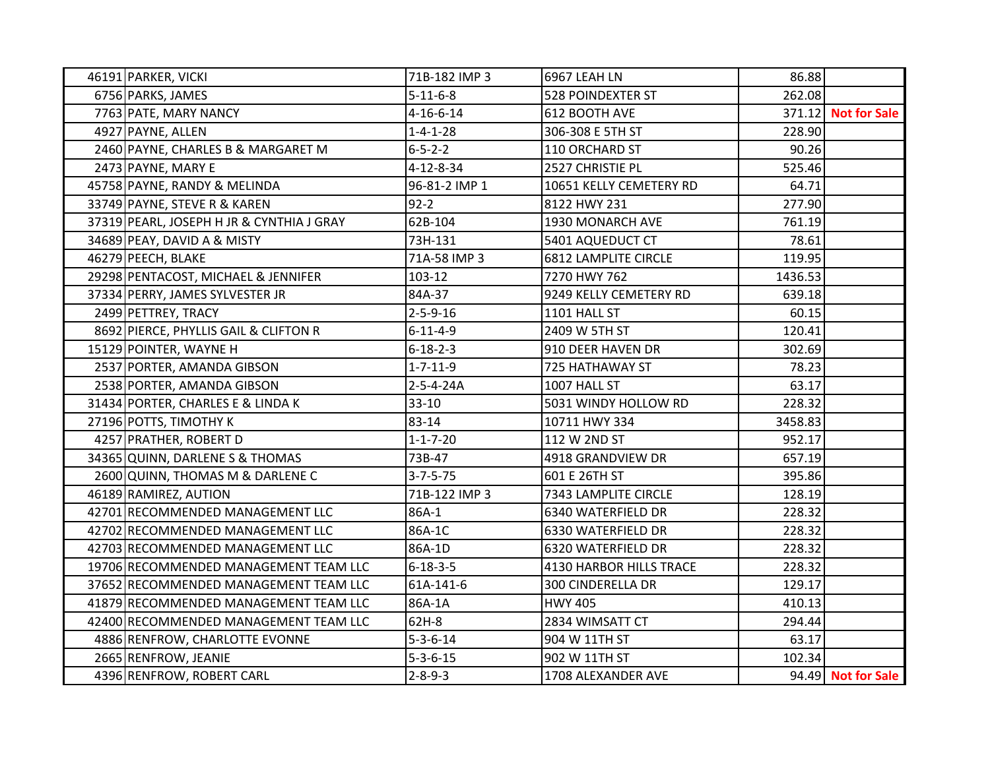| 46191 PARKER, VICKI                       | 71B-182 IMP 3     | 6967 LEAH LN                | 86.88   |                     |
|-------------------------------------------|-------------------|-----------------------------|---------|---------------------|
| 6756 PARKS, JAMES                         | $5 - 11 - 6 - 8$  | <b>528 POINDEXTER ST</b>    | 262.08  |                     |
| 7763 PATE, MARY NANCY                     | $4 - 16 - 6 - 14$ | 612 BOOTH AVE               |         | 371.12 Not for Sale |
| 4927 PAYNE, ALLEN                         | $1 - 4 - 1 - 28$  | 306-308 E 5TH ST            | 228.90  |                     |
| 2460 PAYNE, CHARLES B & MARGARET M        | $6 - 5 - 2 - 2$   | 110 ORCHARD ST              | 90.26   |                     |
| 2473 PAYNE, MARY E                        | 4-12-8-34         | 2527 CHRISTIE PL            | 525.46  |                     |
| 45758 PAYNE, RANDY & MELINDA              | 96-81-2 IMP 1     | 10651 KELLY CEMETERY RD     | 64.71   |                     |
| 33749 PAYNE, STEVE R & KAREN              | $92 - 2$          | 8122 HWY 231                | 277.90  |                     |
| 37319 PEARL, JOSEPH H JR & CYNTHIA J GRAY | 62B-104           | 1930 MONARCH AVE            | 761.19  |                     |
| 34689 PEAY, DAVID A & MISTY               | 73H-131           | 5401 AQUEDUCT CT            | 78.61   |                     |
| 46279 PEECH, BLAKE                        | 71A-58 IMP 3      | <b>6812 LAMPLITE CIRCLE</b> | 119.95  |                     |
| 29298 PENTACOST, MICHAEL & JENNIFER       | 103-12            | 7270 HWY 762                | 1436.53 |                     |
| 37334 PERRY, JAMES SYLVESTER JR           | 84A-37            | 9249 KELLY CEMETERY RD      | 639.18  |                     |
| 2499 PETTREY, TRACY                       | $2 - 5 - 9 - 16$  | 1101 HALL ST                | 60.15   |                     |
| 8692 PIERCE, PHYLLIS GAIL & CLIFTON R     | $6 - 11 - 4 - 9$  | 2409 W 5TH ST               | 120.41  |                     |
| 15129 POINTER, WAYNE H                    | $6 - 18 - 2 - 3$  | 910 DEER HAVEN DR           | 302.69  |                     |
| 2537 PORTER, AMANDA GIBSON                | $1 - 7 - 11 - 9$  | 725 HATHAWAY ST             | 78.23   |                     |
| 2538 PORTER, AMANDA GIBSON                | $2 - 5 - 4 - 24A$ | 1007 HALL ST                | 63.17   |                     |
| 31434 PORTER, CHARLES E & LINDA K         | $33-10$           | 5031 WINDY HOLLOW RD        | 228.32  |                     |
| 27196 POTTS, TIMOTHY K                    | 83-14             | 10711 HWY 334               | 3458.83 |                     |
| 4257 PRATHER, ROBERT D                    | $1 - 1 - 7 - 20$  | 112 W 2ND ST                | 952.17  |                     |
| 34365 QUINN, DARLENE S & THOMAS           | 73B-47            | 4918 GRANDVIEW DR           | 657.19  |                     |
| 2600 QUINN, THOMAS M & DARLENE C          | $3 - 7 - 5 - 75$  | 601 E 26TH ST               | 395.86  |                     |
| 46189 RAMIREZ, AUTION                     | 71B-122 IMP 3     | 7343 LAMPLITE CIRCLE        | 128.19  |                     |
| 42701 RECOMMENDED MANAGEMENT LLC          | 86A-1             | 6340 WATERFIELD DR          | 228.32  |                     |
| 42702 RECOMMENDED MANAGEMENT LLC          | 86A-1C            | 6330 WATERFIELD DR          | 228.32  |                     |
| 42703 RECOMMENDED MANAGEMENT LLC          | 86A-1D            | 6320 WATERFIELD DR          | 228.32  |                     |
| 19706 RECOMMENDED MANAGEMENT TEAM LLC     | $6 - 18 - 3 - 5$  | 4130 HARBOR HILLS TRACE     | 228.32  |                     |
| 37652 RECOMMENDED MANAGEMENT TEAM LLC     | 61A-141-6         | 300 CINDERELLA DR           | 129.17  |                     |
| 41879 RECOMMENDED MANAGEMENT TEAM LLC     | 86A-1A            | <b>HWY 405</b>              | 410.13  |                     |
| 42400 RECOMMENDED MANAGEMENT TEAM LLC     | 62H-8             | 2834 WIMSATT CT             | 294.44  |                     |
| 4886 RENFROW, CHARLOTTE EVONNE            | $5 - 3 - 6 - 14$  | 904 W 11TH ST               | 63.17   |                     |
| 2665 RENFROW, JEANIE                      | $5 - 3 - 6 - 15$  | 902 W 11TH ST               | 102.34  |                     |
| 4396 RENFROW, ROBERT CARL                 | $2 - 8 - 9 - 3$   | 1708 ALEXANDER AVE          |         | 94.49 Not for Sale  |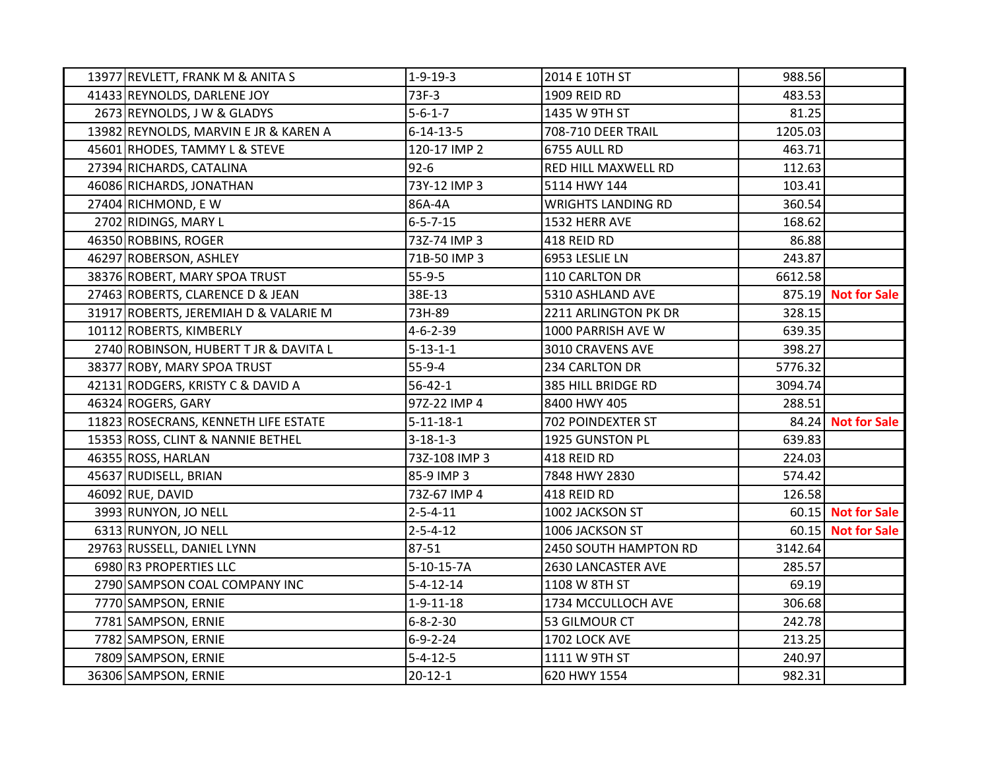| 13977 REVLETT, FRANK M & ANITA S      | $1-9-19-3$        | 2014 E 10TH ST            | 988.56  |                     |
|---------------------------------------|-------------------|---------------------------|---------|---------------------|
| 41433 REYNOLDS, DARLENE JOY           | 73F-3             | 1909 REID RD              | 483.53  |                     |
| 2673 REYNOLDS, J W & GLADYS           | $5 - 6 - 1 - 7$   | 1435 W 9TH ST             | 81.25   |                     |
| 13982 REYNOLDS, MARVIN E JR & KAREN A | $6 - 14 - 13 - 5$ | 708-710 DEER TRAIL        | 1205.03 |                     |
| 45601 RHODES, TAMMY L & STEVE         | 120-17 IMP 2      | 6755 AULL RD              | 463.71  |                     |
| 27394 RICHARDS, CATALINA              | $92 - 6$          | RED HILL MAXWELL RD       | 112.63  |                     |
| 46086 RICHARDS, JONATHAN              | 73Y-12 IMP 3      | 5114 HWY 144              | 103.41  |                     |
| 27404 RICHMOND, EW                    | 86A-4A            | <b>WRIGHTS LANDING RD</b> | 360.54  |                     |
| 2702 RIDINGS, MARY L                  | $6 - 5 - 7 - 15$  | 1532 HERR AVE             | 168.62  |                     |
| 46350 ROBBINS, ROGER                  | 73Z-74 IMP 3      | 418 REID RD               | 86.88   |                     |
| 46297 ROBERSON, ASHLEY                | 71B-50 IMP 3      | 6953 LESLIE LN            | 243.87  |                     |
| 38376 ROBERT, MARY SPOA TRUST         | $55-9-5$          | 110 CARLTON DR            | 6612.58 |                     |
| 27463 ROBERTS, CLARENCE D & JEAN      | 38E-13            | 5310 ASHLAND AVE          |         | 875.19 Not for Sale |
| 31917 ROBERTS, JEREMIAH D & VALARIE M | 73H-89            | 2211 ARLINGTON PK DR      | 328.15  |                     |
| 10112 ROBERTS, KIMBERLY               | $4 - 6 - 2 - 39$  | 1000 PARRISH AVE W        | 639.35  |                     |
| 2740 ROBINSON, HUBERT T JR & DAVITA L | $5 - 13 - 1 - 1$  | 3010 CRAVENS AVE          | 398.27  |                     |
| 38377 ROBY, MARY SPOA TRUST           | $55-9-4$          | 234 CARLTON DR            | 5776.32 |                     |
| 42131 RODGERS, KRISTY C & DAVID A     | $56 - 42 - 1$     | 385 HILL BRIDGE RD        | 3094.74 |                     |
| 46324 ROGERS, GARY                    | 97Z-22 IMP 4      | 8400 HWY 405              | 288.51  |                     |
| 11823 ROSECRANS, KENNETH LIFE ESTATE  | $5 - 11 - 18 - 1$ | 702 POINDEXTER ST         |         | 84.24 Not for Sale  |
| 15353 ROSS, CLINT & NANNIE BETHEL     | $3 - 18 - 1 - 3$  | 1925 GUNSTON PL           | 639.83  |                     |
| 46355 ROSS, HARLAN                    | 73Z-108 IMP 3     | 418 REID RD               | 224.03  |                     |
| 45637 RUDISELL, BRIAN                 | 85-9 IMP 3        | 7848 HWY 2830             | 574.42  |                     |
| 46092 RUE, DAVID                      | 73Z-67 IMP 4      | 418 REID RD               | 126.58  |                     |
| 3993 RUNYON, JO NELL                  | $2 - 5 - 4 - 11$  | 1002 JACKSON ST           |         | 60.15 Not for Sale  |
| 6313 RUNYON, JO NELL                  | $2 - 5 - 4 - 12$  | 1006 JACKSON ST           |         | 60.15 Not for Sale  |
| 29763 RUSSELL, DANIEL LYNN            | 87-51             | 2450 SOUTH HAMPTON RD     | 3142.64 |                     |
| 6980 R3 PROPERTIES LLC                | $5-10-15-7A$      | 2630 LANCASTER AVE        | 285.57  |                     |
| 2790 SAMPSON COAL COMPANY INC         | $5 - 4 - 12 - 14$ | 1108 W 8TH ST             | 69.19   |                     |
| 7770 SAMPSON, ERNIE                   | $1 - 9 - 11 - 18$ | 1734 MCCULLOCH AVE        | 306.68  |                     |
| 7781 SAMPSON, ERNIE                   | $6 - 8 - 2 - 30$  | 53 GILMOUR CT             | 242.78  |                     |
| 7782 SAMPSON, ERNIE                   | $6 - 9 - 2 - 24$  | 1702 LOCK AVE             | 213.25  |                     |
| 7809 SAMPSON, ERNIE                   | $5 - 4 - 12 - 5$  | 1111 W 9TH ST             | 240.97  |                     |
| 36306 SAMPSON, ERNIE                  | $20 - 12 - 1$     | 620 HWY 1554              | 982.31  |                     |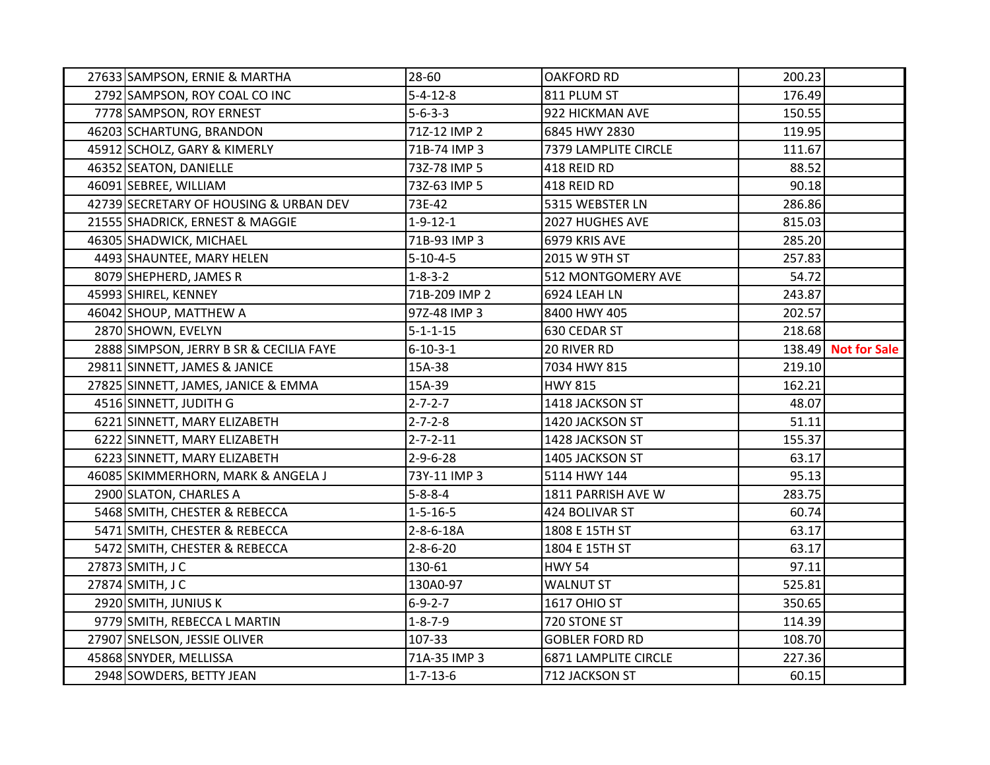| 27633 SAMPSON, ERNIE & MARTHA           | 28-60             | <b>OAKFORD RD</b>           | 200.23 |                     |
|-----------------------------------------|-------------------|-----------------------------|--------|---------------------|
| 2792 SAMPSON, ROY COAL CO INC           | $5 - 4 - 12 - 8$  | 811 PLUM ST                 | 176.49 |                     |
| 7778 SAMPSON, ROY ERNEST                | $5 - 6 - 3 - 3$   | 922 HICKMAN AVE             | 150.55 |                     |
| 46203 SCHARTUNG, BRANDON                | 71Z-12 IMP 2      | 6845 HWY 2830               | 119.95 |                     |
| 45912 SCHOLZ, GARY & KIMERLY            | 71B-74 IMP 3      | 7379 LAMPLITE CIRCLE        | 111.67 |                     |
| 46352 SEATON, DANIELLE                  | 73Z-78 IMP 5      | 418 REID RD                 | 88.52  |                     |
| 46091 SEBREE, WILLIAM                   | 73Z-63 IMP 5      | 418 REID RD                 | 90.18  |                     |
| 42739 SECRETARY OF HOUSING & URBAN DEV  | 73E-42            | 5315 WEBSTER LN             | 286.86 |                     |
| 21555 SHADRICK, ERNEST & MAGGIE         | $1 - 9 - 12 - 1$  | 2027 HUGHES AVE             | 815.03 |                     |
| 46305 SHADWICK, MICHAEL                 | 71B-93 IMP 3      | 6979 KRIS AVE               | 285.20 |                     |
| 4493 SHAUNTEE, MARY HELEN               | $5 - 10 - 4 - 5$  | 2015 W 9TH ST               | 257.83 |                     |
| 8079 SHEPHERD, JAMES R                  | $1 - 8 - 3 - 2$   | 512 MONTGOMERY AVE          | 54.72  |                     |
| 45993 SHIREL, KENNEY                    | 71B-209 IMP 2     | 6924 LEAH LN                | 243.87 |                     |
| 46042 SHOUP, MATTHEW A                  | 97Z-48 IMP 3      | 8400 HWY 405                | 202.57 |                     |
| 2870 SHOWN, EVELYN                      | $5 - 1 - 1 - 15$  | 630 CEDAR ST                | 218.68 |                     |
| 2888 SIMPSON, JERRY B SR & CECILIA FAYE | $6 - 10 - 3 - 1$  | 20 RIVER RD                 |        | 138.49 Not for Sale |
| 29811 SINNETT, JAMES & JANICE           | 15A-38            | 7034 HWY 815                | 219.10 |                     |
| 27825 SINNETT, JAMES, JANICE & EMMA     | 15A-39            | <b>HWY 815</b>              | 162.21 |                     |
| 4516 SINNETT, JUDITH G                  | $2 - 7 - 2 - 7$   | 1418 JACKSON ST             | 48.07  |                     |
| 6221 SINNETT, MARY ELIZABETH            | $2 - 7 - 2 - 8$   | 1420 JACKSON ST             | 51.11  |                     |
| 6222 SINNETT, MARY ELIZABETH            | $2 - 7 - 2 - 11$  | 1428 JACKSON ST             | 155.37 |                     |
| 6223 SINNETT, MARY ELIZABETH            | $2 - 9 - 6 - 28$  | 1405 JACKSON ST             | 63.17  |                     |
| 46085 SKIMMERHORN, MARK & ANGELA J      | 73Y-11 IMP 3      | 5114 HWY 144                | 95.13  |                     |
| 2900 SLATON, CHARLES A                  | $5 - 8 - 8 - 4$   | 1811 PARRISH AVE W          | 283.75 |                     |
| 5468 SMITH, CHESTER & REBECCA           | $1 - 5 - 16 - 5$  | 424 BOLIVAR ST              | 60.74  |                     |
| 5471 SMITH, CHESTER & REBECCA           | $2 - 8 - 6 - 18A$ | 1808 E 15TH ST              | 63.17  |                     |
| 5472 SMITH, CHESTER & REBECCA           | $2 - 8 - 6 - 20$  | 1804 E 15TH ST              | 63.17  |                     |
| 27873 SMITH, J C                        | 130-61            | <b>HWY 54</b>               | 97.11  |                     |
| 27874 SMITH, J C                        | 130A0-97          | <b>WALNUT ST</b>            | 525.81 |                     |
| 2920 SMITH, JUNIUS K                    | $6 - 9 - 2 - 7$   | <b>1617 OHIO ST</b>         | 350.65 |                     |
| 9779 SMITH, REBECCA L MARTIN            | $1 - 8 - 7 - 9$   | 720 STONE ST                | 114.39 |                     |
| 27907 SNELSON, JESSIE OLIVER            | 107-33            | <b>GOBLER FORD RD</b>       | 108.70 |                     |
| 45868 SNYDER, MELLISSA                  | 71A-35 IMP 3      | <b>6871 LAMPLITE CIRCLE</b> | 227.36 |                     |
| 2948 SOWDERS, BETTY JEAN                | $1 - 7 - 13 - 6$  | 712 JACKSON ST              | 60.15  |                     |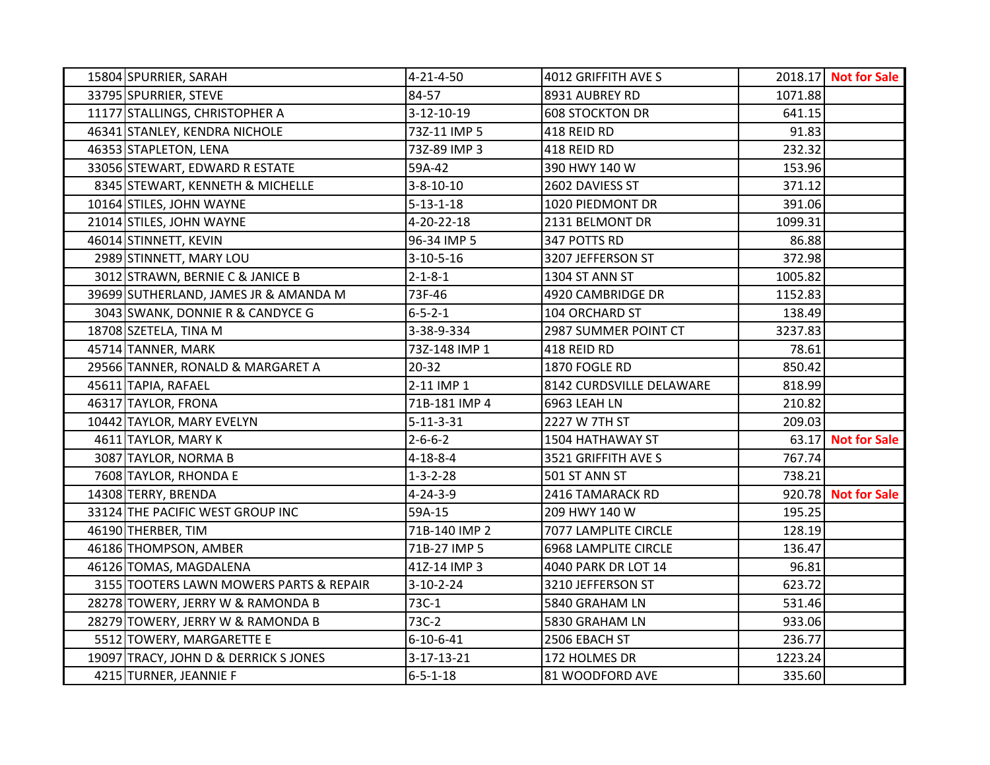| 15804 SPURRIER, SARAH                   | 4-21-4-50          | 4012 GRIFFITH AVE S         |         | 2018.17 Not for Sale      |
|-----------------------------------------|--------------------|-----------------------------|---------|---------------------------|
| 33795 SPURRIER, STEVE                   | 84-57              | 8931 AUBREY RD              | 1071.88 |                           |
| 11177 STALLINGS, CHRISTOPHER A          | 3-12-10-19         | <b>608 STOCKTON DR</b>      | 641.15  |                           |
| 46341 STANLEY, KENDRA NICHOLE           | 73Z-11 IMP 5       | 418 REID RD                 | 91.83   |                           |
| 46353 STAPLETON, LENA                   | 73Z-89 IMP 3       | 418 REID RD                 | 232.32  |                           |
| 33056 STEWART, EDWARD R ESTATE          | 59A-42             | 390 HWY 140 W               | 153.96  |                           |
| 8345 STEWART, KENNETH & MICHELLE        | $3 - 8 - 10 - 10$  | 2602 DAVIESS ST             | 371.12  |                           |
| 10164 STILES, JOHN WAYNE                | $5 - 13 - 1 - 18$  | 1020 PIEDMONT DR            | 391.06  |                           |
| 21014 STILES, JOHN WAYNE                | 4-20-22-18         | 2131 BELMONT DR             | 1099.31 |                           |
| 46014 STINNETT, KEVIN                   | 96-34 IMP 5        | 347 POTTS RD                | 86.88   |                           |
| 2989 STINNETT, MARY LOU                 | $3-10-5-16$        | 3207 JEFFERSON ST           | 372.98  |                           |
| 3012 STRAWN, BERNIE C & JANICE B        | $2 - 1 - 8 - 1$    | 1304 ST ANN ST              | 1005.82 |                           |
| 39699 SUTHERLAND, JAMES JR & AMANDA M   | 73F-46             | 4920 CAMBRIDGE DR           | 1152.83 |                           |
| 3043 SWANK, DONNIE R & CANDYCE G        | $6 - 5 - 2 - 1$    | 104 ORCHARD ST              | 138.49  |                           |
| 18708 SZETELA, TINA M                   | 3-38-9-334         | 2987 SUMMER POINT CT        | 3237.83 |                           |
| 45714 TANNER, MARK                      | 73Z-148 IMP 1      | 418 REID RD                 | 78.61   |                           |
| 29566 TANNER, RONALD & MARGARET A       | $20 - 32$          | 1870 FOGLE RD               | 850.42  |                           |
| 45611 TAPIA, RAFAEL                     | 2-11 IMP 1         | 8142 CURDSVILLE DELAWARE    | 818.99  |                           |
| 46317 TAYLOR, FRONA                     | 71B-181 IMP 4      | 6963 LEAH LN                | 210.82  |                           |
| 10442 TAYLOR, MARY EVELYN               | $5 - 11 - 3 - 31$  | 2227 W 7TH ST               | 209.03  |                           |
| 4611 TAYLOR, MARY K                     | $2 - 6 - 6 - 2$    | 1504 HATHAWAY ST            |         | 63.17 <b>Not for Sale</b> |
| 3087 TAYLOR, NORMA B                    | $4 - 18 - 8 - 4$   | 3521 GRIFFITH AVE S         | 767.74  |                           |
| 7608 TAYLOR, RHONDA E                   | $1 - 3 - 2 - 28$   | 501 ST ANN ST               | 738.21  |                           |
| 14308 TERRY, BRENDA                     | $4 - 24 - 3 - 9$   | 2416 TAMARACK RD            |         | 920.78 Not for Sale       |
| 33124 THE PACIFIC WEST GROUP INC        | 59A-15             | 209 HWY 140 W               | 195.25  |                           |
| 46190 THERBER, TIM                      | 71B-140 IMP 2      | 7077 LAMPLITE CIRCLE        | 128.19  |                           |
| 46186 THOMPSON, AMBER                   | 71B-27 IMP 5       | <b>6968 LAMPLITE CIRCLE</b> | 136.47  |                           |
| 46126 TOMAS, MAGDALENA                  | 41Z-14 IMP 3       | 4040 PARK DR LOT 14         | 96.81   |                           |
| 3155 TOOTERS LAWN MOWERS PARTS & REPAIR | $3-10-2-24$        | 3210 JEFFERSON ST           | 623.72  |                           |
| 28278 TOWERY, JERRY W & RAMONDA B       | 73C-1              | 5840 GRAHAM LN              | 531.46  |                           |
| 28279 TOWERY, JERRY W & RAMONDA B       | 73C-2              | 5830 GRAHAM LN              | 933.06  |                           |
| 5512 TOWERY, MARGARETTE E               | $6 - 10 - 6 - 41$  | 2506 EBACH ST               | 236.77  |                           |
| 19097 TRACY, JOHN D & DERRICK S JONES   | $3 - 17 - 13 - 21$ | 172 HOLMES DR               | 1223.24 |                           |
| 4215 TURNER, JEANNIE F                  | $6 - 5 - 1 - 18$   | 81 WOODFORD AVE             | 335.60  |                           |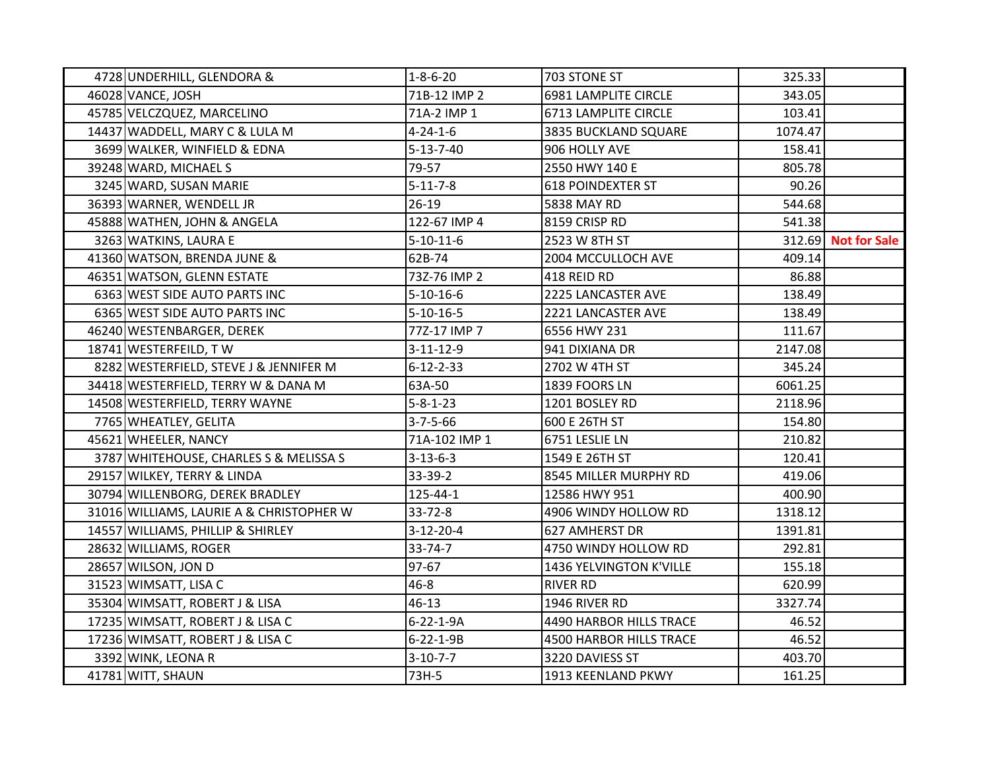| 4728 UNDERHILL, GLENDORA &               | $1 - 8 - 6 - 20$  | 703 STONE ST                   | 325.33  |                     |
|------------------------------------------|-------------------|--------------------------------|---------|---------------------|
| 46028 VANCE, JOSH                        | 71B-12 IMP 2      | 6981 LAMPLITE CIRCLE           | 343.05  |                     |
| 45785 VELCZQUEZ, MARCELINO               | 71A-2 IMP 1       | 6713 LAMPLITE CIRCLE           | 103.41  |                     |
| 14437 WADDELL, MARY C & LULA M           | $4 - 24 - 1 - 6$  | 3835 BUCKLAND SQUARE           | 1074.47 |                     |
| 3699 WALKER, WINFIELD & EDNA             | $5 - 13 - 7 - 40$ | 906 HOLLY AVE                  | 158.41  |                     |
| 39248 WARD, MICHAEL S                    | 79-57             | 2550 HWY 140 E                 | 805.78  |                     |
| 3245 WARD, SUSAN MARIE                   | $5 - 11 - 7 - 8$  | <b>618 POINDEXTER ST</b>       | 90.26   |                     |
| 36393 WARNER, WENDELL JR                 | $26-19$           | 5838 MAY RD                    | 544.68  |                     |
| 45888 WATHEN, JOHN & ANGELA              | 122-67 IMP 4      | 8159 CRISP RD                  | 541.38  |                     |
| 3263 WATKINS, LAURA E                    | $5 - 10 - 11 - 6$ | 2523 W 8TH ST                  |         | 312.69 Not for Sale |
| 41360 WATSON, BRENDA JUNE &              | 62B-74            | 2004 MCCULLOCH AVE             | 409.14  |                     |
| 46351 WATSON, GLENN ESTATE               | 73Z-76 IMP 2      | 418 REID RD                    | 86.88   |                     |
| 6363 WEST SIDE AUTO PARTS INC            | $5 - 10 - 16 - 6$ | 2225 LANCASTER AVE             | 138.49  |                     |
| 6365 WEST SIDE AUTO PARTS INC            | $5 - 10 - 16 - 5$ | 2221 LANCASTER AVE             | 138.49  |                     |
| 46240 WESTENBARGER, DEREK                | 77Z-17 IMP 7      | 6556 HWY 231                   | 111.67  |                     |
| 18741 WESTERFEILD, TW                    | $3 - 11 - 12 - 9$ | 941 DIXIANA DR                 | 2147.08 |                     |
| 8282 WESTERFIELD, STEVE J & JENNIFER M   | $6 - 12 - 2 - 33$ | 2702 W 4TH ST                  | 345.24  |                     |
| 34418 WESTERFIELD, TERRY W & DANA M      | 63A-50            | 1839 FOORS LN                  | 6061.25 |                     |
| 14508 WESTERFIELD, TERRY WAYNE           | $5 - 8 - 1 - 23$  | 1201 BOSLEY RD                 | 2118.96 |                     |
| 7765 WHEATLEY, GELITA                    | $3 - 7 - 5 - 66$  | 600 E 26TH ST                  | 154.80  |                     |
| 45621 WHEELER, NANCY                     | 71A-102 IMP 1     | 6751 LESLIE LN                 | 210.82  |                     |
| 3787 WHITEHOUSE, CHARLES S & MELISSA S   | $3 - 13 - 6 - 3$  | 1549 E 26TH ST                 | 120.41  |                     |
| 29157 WILKEY, TERRY & LINDA              | 33-39-2           | 8545 MILLER MURPHY RD          | 419.06  |                     |
| 30794 WILLENBORG, DEREK BRADLEY          | 125-44-1          | 12586 HWY 951                  | 400.90  |                     |
| 31016 WILLIAMS, LAURIE A & CHRISTOPHER W | $33 - 72 - 8$     | 4906 WINDY HOLLOW RD           | 1318.12 |                     |
| 14557 WILLIAMS, PHILLIP & SHIRLEY        | $3-12-20-4$       | 627 AMHERST DR                 | 1391.81 |                     |
| 28632 WILLIAMS, ROGER                    | $33 - 74 - 7$     | 4750 WINDY HOLLOW RD           | 292.81  |                     |
| 28657 WILSON, JON D                      | 97-67             | 1436 YELVINGTON K'VILLE        | 155.18  |                     |
| 31523 WIMSATT, LISA C                    | $46 - 8$          | <b>RIVER RD</b>                | 620.99  |                     |
| 35304 WIMSATT, ROBERT J & LISA           | 46-13             | 1946 RIVER RD                  | 3327.74 |                     |
| 17235 WIMSATT, ROBERT J & LISA C         | $6 - 22 - 1 - 9A$ | 4490 HARBOR HILLS TRACE        | 46.52   |                     |
| 17236 WIMSATT, ROBERT J & LISA C         | $6 - 22 - 1 - 9B$ | <b>4500 HARBOR HILLS TRACE</b> | 46.52   |                     |
| 3392 WINK, LEONA R                       | $3-10-7-7$        | 3220 DAVIESS ST                | 403.70  |                     |
| 41781 WITT, SHAUN                        | 73H-5             | 1913 KEENLAND PKWY             | 161.25  |                     |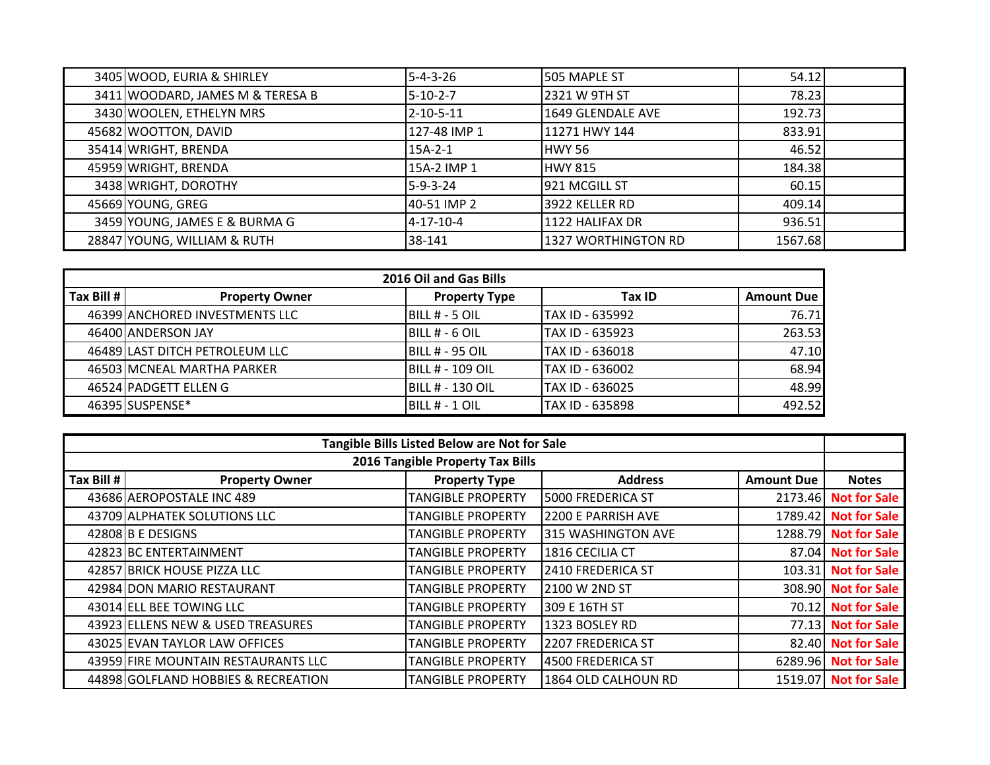| 3405 WOOD, EURIA & SHIRLEY       | $5 - 4 - 3 - 26$  | 505 MAPLE ST               | 54.12   |  |
|----------------------------------|-------------------|----------------------------|---------|--|
| 3411 WOODARD, JAMES M & TERESA B | 5-10-2-7          | 2321 W 9TH ST              | 78.23   |  |
| 3430 WOOLEN, ETHELYN MRS         | $2 - 10 - 5 - 11$ | 1649 GLENDALE AVE          | 192.73  |  |
| 45682 WOOTTON, DAVID             | 127-48 IMP 1      | 11271 HWY 144              | 833.91  |  |
| 35414 WRIGHT, BRENDA             | 15A-2-1           | <b>HWY 56</b>              | 46.52   |  |
| 45959 WRIGHT, BRENDA             | 15A-2 IMP 1       | <b>HWY 815</b>             | 184.38  |  |
| 3438 WRIGHT, DOROTHY             | 5-9-3-24          | 1921 MCGILL ST             | 60.15   |  |
| 45669 YOUNG, GREG                | 40-51 IMP 2       | 3922 KELLER RD             | 409.14  |  |
| 3459 YOUNG, JAMES E & BURMA G    | 4-17-10-4         | 1122 HALIFAX DR            | 936.51  |  |
| 28847 YOUNG, WILLIAM & RUTH      | 38-141            | <b>1327 WORTHINGTON RD</b> | 1567.68 |  |

| 2016 Oil and Gas Bills |                                |                         |                 |                   |  |
|------------------------|--------------------------------|-------------------------|-----------------|-------------------|--|
| Tax Bill #             | <b>Property Owner</b>          | <b>Property Type</b>    | Tax ID          | <b>Amount Due</b> |  |
|                        | 46399 ANCHORED INVESTMENTS LLC | BILL # - 5 OIL          | TAX ID - 635992 | 76.71             |  |
|                        | 46400 ANDERSON JAY             | BILL # - 6 OIL          | TAX ID - 635923 | 263.53            |  |
|                        | 46489 LAST DITCH PETROLEUM LLC | IBILL # - 95 OIL        | TAX ID - 636018 | 47.10             |  |
|                        | 46503 MCNEAL MARTHA PARKER     | <b>BILL # - 109 OIL</b> | TAX ID - 636002 | 68.94             |  |
|                        | 46524 PADGETT ELLEN G          | BILL # - 130 OIL        | TAX ID - 636025 | 48.99             |  |
|                        | 46395 SUSPENSE*                | BILL # - 1 OIL          | TAX ID - 635898 | 492.52            |  |

| Tangible Bills Listed Below are Not for Sale |                                     |                                  |                     |                   |                      |
|----------------------------------------------|-------------------------------------|----------------------------------|---------------------|-------------------|----------------------|
|                                              |                                     | 2016 Tangible Property Tax Bills |                     |                   |                      |
| Tax Bill #                                   | <b>Property Owner</b>               | <b>Property Type</b>             | <b>Address</b>      | <b>Amount Due</b> | <b>Notes</b>         |
|                                              | 43686 AEROPOSTALE INC 489           | <b>TANGIBLE PROPERTY</b>         | 5000 FREDERICA ST   | 2173.46           | <b>Not for Sale</b>  |
|                                              | 43709 ALPHATEK SOLUTIONS LLC        | <b>TANGIBLE PROPERTY</b>         | 2200 E PARRISH AVE  | 1789.42           | <b>Not for Sale</b>  |
|                                              | 42808 B E DESIGNS                   | <b>TANGIBLE PROPERTY</b>         | 315 WASHINGTON AVE  |                   | 1288.79 Not for Sale |
|                                              | 42823 BC ENTERTAINMENT              | <b>TANGIBLE PROPERTY</b>         | 1816 CECILIA CT     |                   | 87.04 Not for Sale   |
|                                              | 42857 BRICK HOUSE PIZZA LLC         | <b>TANGIBLE PROPERTY</b>         | 2410 FREDERICA ST   | 103.31            | <b>Not for Sale</b>  |
|                                              | 42984 DON MARIO RESTAURANT          | <b>TANGIBLE PROPERTY</b>         | 2100 W 2ND ST       |                   | 308.90 Not for Sale  |
|                                              | 43014 ELL BEE TOWING LLC            | <b>TANGIBLE PROPERTY</b>         | 309 E 16TH ST       | 70.12             | <b>Not for Sale</b>  |
|                                              | 43923 ELLENS NEW & USED TREASURES   | <b>TANGIBLE PROPERTY</b>         | 1323 BOSLEY RD      | 77.13             | <b>Not for Sale</b>  |
|                                              | 43025 EVAN TAYLOR LAW OFFICES       | <b>TANGIBLE PROPERTY</b>         | 2207 FREDERICA ST   |                   | 82.40 Not for Sale   |
|                                              | 43959 FIRE MOUNTAIN RESTAURANTS LLC | <b>TANGIBLE PROPERTY</b>         | 4500 FREDERICA ST   |                   | 6289.96 Not for Sale |
|                                              | 44898 GOLFLAND HOBBIES & RECREATION | <b>TANGIBLE PROPERTY</b>         | 1864 OLD CALHOUN RD |                   | 1519.07 Not for Sale |